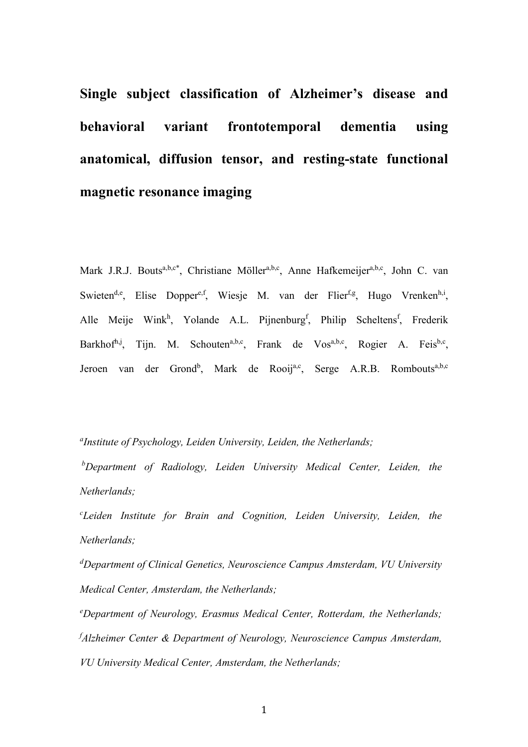**Single subject classification of Alzheimer's disease and behavioral variant frontotemporal dementia using anatomical, diffusion tensor, and resting-state functional magnetic resonance imaging**

Mark J.R.J. Bouts<sup>a,b,c\*</sup>, Christiane Möller<sup>a,b,c</sup>, Anne Hafkemeijer<sup>a,b,c</sup>, John C. van Swieten<sup>d,e</sup>, Elise Dopper<sup>e, f</sup>, Wiesje M. van der Flier<sup>f,g</sup>, Hugo Vrenken<sup>h, i</sup>, Alle Meije Wink<sup>h</sup>, Yolande A.L. Pijnenburg<sup>f</sup>, Philip Scheltens<sup>f</sup>, Frederik Barkhof<sup>h,j</sup>, Tijn. M. Schouten<sup>a,b,c</sup>, Frank de Vos<sup>a,b,c</sup>, Rogier A. Feis<sup>b,c</sup>, Jeroen van der Grond<sup>b</sup>, Mark de Rooij<sup>a,c</sup>, Serge A.R.B. Rombouts<sup>a,b,c</sup>

*a Institute of Psychology, Leiden University, Leiden, the Netherlands;*

*<sup>b</sup>Department of Radiology, Leiden University Medical Center, Leiden, the Netherlands;*

*<sup>c</sup>Leiden Institute for Brain and Cognition, Leiden University, Leiden, the Netherlands;*

*<sup>d</sup>Department of Clinical Genetics, Neuroscience Campus Amsterdam, VU University Medical Center, Amsterdam, the Netherlands;*

*<sup>e</sup>Department of Neurology, Erasmus Medical Center, Rotterdam, the Netherlands; <sup>f</sup>Alzheimer Center & Department of Neurology, Neuroscience Campus Amsterdam, VU University Medical Center, Amsterdam, the Netherlands;*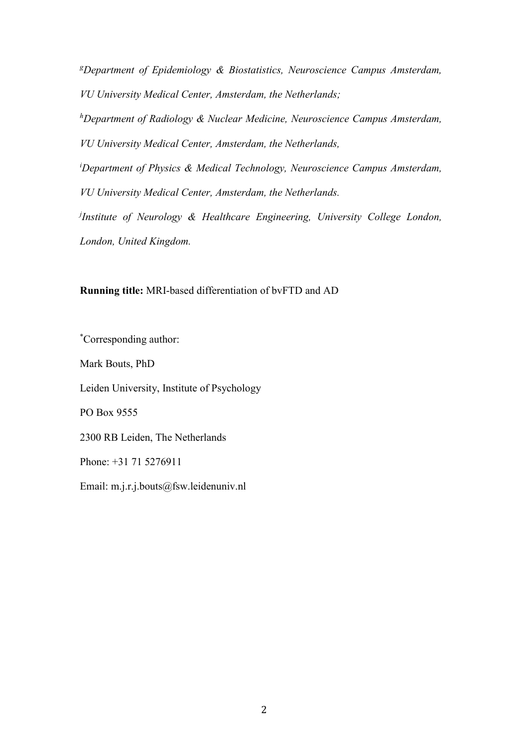*<sup>g</sup>Department of Epidemiology & Biostatistics, Neuroscience Campus Amsterdam, VU University Medical Center, Amsterdam, the Netherlands;*

*<sup>h</sup>Department of Radiology & Nuclear Medicine, Neuroscience Campus Amsterdam, VU University Medical Center, Amsterdam, the Netherlands,*

*<sup>i</sup>Department of Physics & Medical Technology, Neuroscience Campus Amsterdam, VU University Medical Center, Amsterdam, the Netherlands.*

*j Institute of Neurology & Healthcare Engineering, University College London, London, United Kingdom.*

**Running title:** MRI-based differentiation of bvFTD and AD

\*Corresponding author: Mark Bouts, PhD Leiden University, Institute of Psychology PO Box 9555 2300 RB Leiden, The Netherlands Phone: +31 71 5276911 Email: m.j.r.j.bouts@fsw.leidenuniv.nl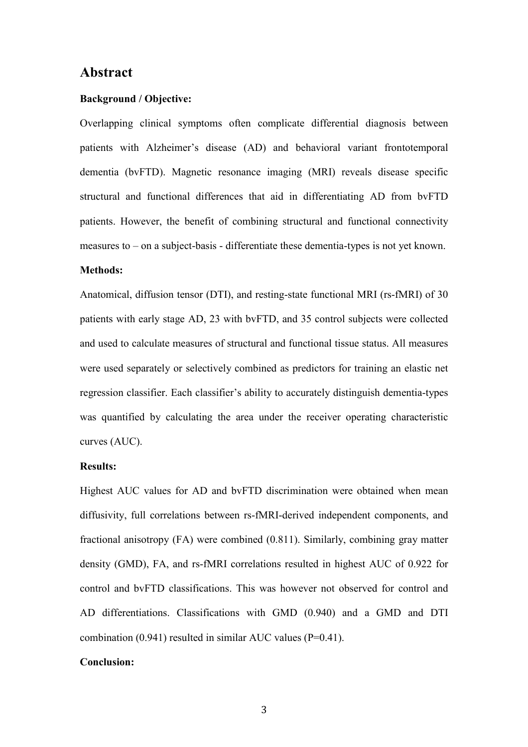## **Abstract**

#### **Background / Objective:**

Overlapping clinical symptoms often complicate differential diagnosis between patients with Alzheimer's disease (AD) and behavioral variant frontotemporal dementia (bvFTD). Magnetic resonance imaging (MRI) reveals disease specific structural and functional differences that aid in differentiating AD from bvFTD patients. However, the benefit of combining structural and functional connectivity measures to – on a subject-basis - differentiate these dementia-types is not yet known.

## **Methods:**

Anatomical, diffusion tensor (DTI), and resting-state functional MRI (rs-fMRI) of 30 patients with early stage AD, 23 with bvFTD, and 35 control subjects were collected and used to calculate measures of structural and functional tissue status. All measures were used separately or selectively combined as predictors for training an elastic net regression classifier. Each classifier's ability to accurately distinguish dementia-types was quantified by calculating the area under the receiver operating characteristic curves (AUC).

#### **Results:**

Highest AUC values for AD and bvFTD discrimination were obtained when mean diffusivity, full correlations between rs-fMRI-derived independent components, and fractional anisotropy (FA) were combined (0.811). Similarly, combining gray matter density (GMD), FA, and rs-fMRI correlations resulted in highest AUC of 0.922 for control and bvFTD classifications. This was however not observed for control and AD differentiations. Classifications with GMD (0.940) and a GMD and DTI combination (0.941) resulted in similar AUC values (P=0.41).

#### **Conclusion:**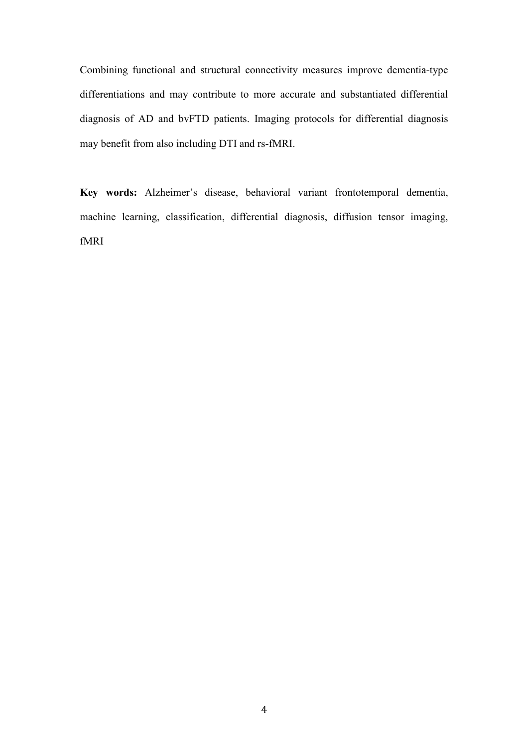Combining functional and structural connectivity measures improve dementia-type differentiations and may contribute to more accurate and substantiated differential diagnosis of AD and bvFTD patients. Imaging protocols for differential diagnosis may benefit from also including DTI and rs-fMRI.

**Key words:** Alzheimer's disease, behavioral variant frontotemporal dementia, machine learning, classification, differential diagnosis, diffusion tensor imaging, fMRI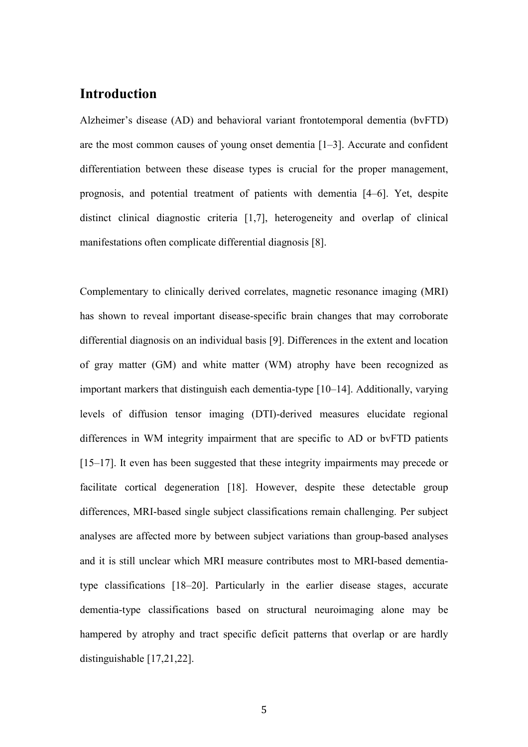# **Introduction**

Alzheimer's disease (AD) and behavioral variant frontotemporal dementia (bvFTD) are the most common causes of young onset dementia [1–3]. Accurate and confident differentiation between these disease types is crucial for the proper management, prognosis, and potential treatment of patients with dementia [4–6]. Yet, despite distinct clinical diagnostic criteria [1,7], heterogeneity and overlap of clinical manifestations often complicate differential diagnosis [8].

Complementary to clinically derived correlates, magnetic resonance imaging (MRI) has shown to reveal important disease-specific brain changes that may corroborate differential diagnosis on an individual basis [9]. Differences in the extent and location of gray matter (GM) and white matter (WM) atrophy have been recognized as important markers that distinguish each dementia-type [10–14]. Additionally, varying levels of diffusion tensor imaging (DTI)-derived measures elucidate regional differences in WM integrity impairment that are specific to AD or bvFTD patients [15–17]. It even has been suggested that these integrity impairments may precede or facilitate cortical degeneration [18]. However, despite these detectable group differences, MRI-based single subject classifications remain challenging. Per subject analyses are affected more by between subject variations than group-based analyses and it is still unclear which MRI measure contributes most to MRI-based dementiatype classifications [18–20]. Particularly in the earlier disease stages, accurate dementia-type classifications based on structural neuroimaging alone may be hampered by atrophy and tract specific deficit patterns that overlap or are hardly distinguishable [17,21,22].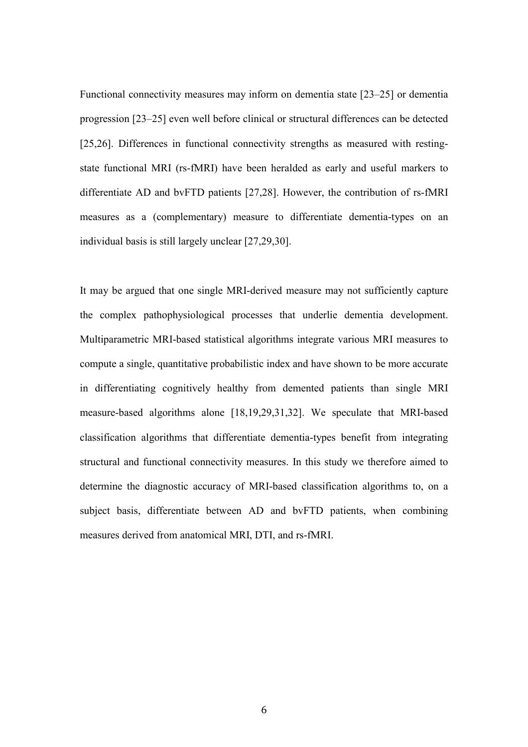Functional connectivity measures may inform on dementia state [23–25] or dementia progression [23–25] even well before clinical or structural differences can be detected [25,26]. Differences in functional connectivity strengths as measured with restingstate functional MRI (rs-fMRI) have been heralded as early and useful markers to differentiate AD and bvFTD patients [27,28]. However, the contribution of rs-fMRI measures as a (complementary) measure to differentiate dementia-types on an individual basis is still largely unclear [27,29,30].

It may be argued that one single MRI-derived measure may not sufficiently capture the complex pathophysiological processes that underlie dementia development. Multiparametric MRI-based statistical algorithms integrate various MRI measures to compute a single, quantitative probabilistic index and have shown to be more accurate in differentiating cognitively healthy from demented patients than single MRI measure-based algorithms alone [18,19,29,31,32]. We speculate that MRI-based classification algorithms that differentiate dementia-types benefit from integrating structural and functional connectivity measures. In this study we therefore aimed to determine the diagnostic accuracy of MRI-based classification algorithms to, on a subject basis, differentiate between AD and bvFTD patients, when combining measures derived from anatomical MRI, DTI, and rs-fMRI.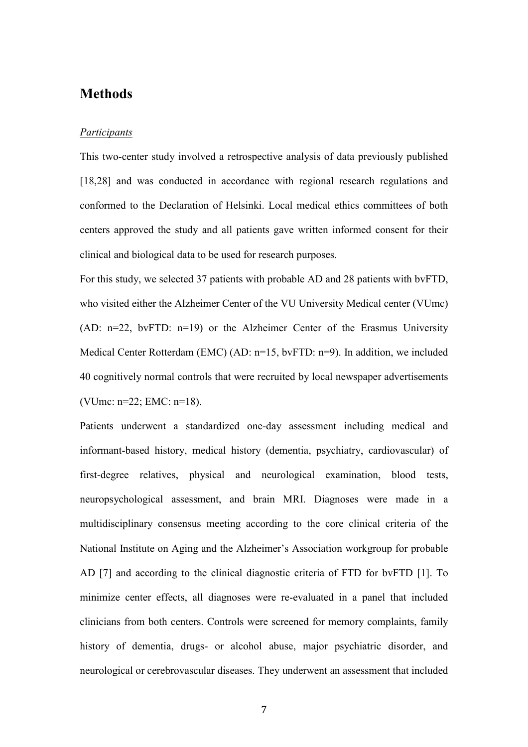## **Methods**

#### *Participants*

This two-center study involved a retrospective analysis of data previously published [18,28] and was conducted in accordance with regional research regulations and conformed to the Declaration of Helsinki. Local medical ethics committees of both centers approved the study and all patients gave written informed consent for their clinical and biological data to be used for research purposes.

For this study, we selected 37 patients with probable AD and 28 patients with bvFTD, who visited either the Alzheimer Center of the VU University Medical center (VUmc) (AD: n=22, bvFTD: n=19) or the Alzheimer Center of the Erasmus University Medical Center Rotterdam (EMC) (AD: n=15, bvFTD: n=9). In addition, we included 40 cognitively normal controls that were recruited by local newspaper advertisements (VUmc: n=22; EMC: n=18).

Patients underwent a standardized one-day assessment including medical and informant-based history, medical history (dementia, psychiatry, cardiovascular) of first-degree relatives, physical and neurological examination, blood tests, neuropsychological assessment, and brain MRI. Diagnoses were made in a multidisciplinary consensus meeting according to the core clinical criteria of the National Institute on Aging and the Alzheimer's Association workgroup for probable AD [7] and according to the clinical diagnostic criteria of FTD for bvFTD [1]. To minimize center effects, all diagnoses were re-evaluated in a panel that included clinicians from both centers. Controls were screened for memory complaints, family history of dementia, drugs- or alcohol abuse, major psychiatric disorder, and neurological or cerebrovascular diseases. They underwent an assessment that included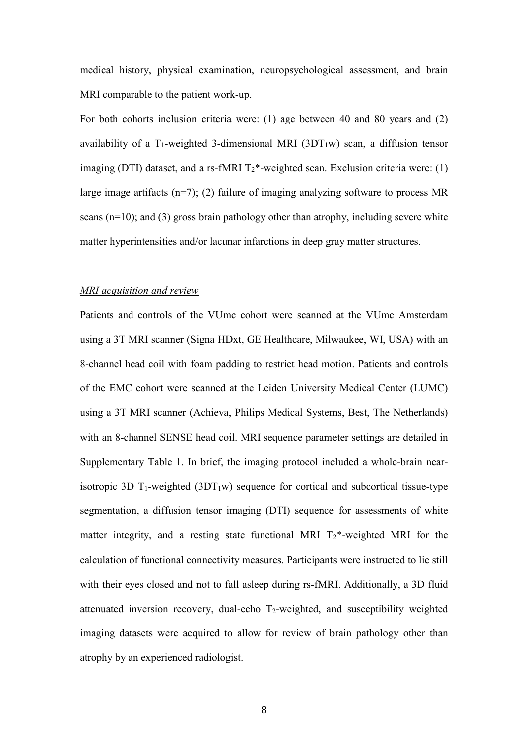medical history, physical examination, neuropsychological assessment, and brain MRI comparable to the patient work-up.

For both cohorts inclusion criteria were: (1) age between 40 and 80 years and (2) availability of a T<sub>1</sub>-weighted 3-dimensional MRI (3DT<sub>1</sub>w) scan, a diffusion tensor imaging (DTI) dataset, and a rs-fMRI  $T_2^*$ -weighted scan. Exclusion criteria were: (1) large image artifacts  $(n=7)$ ; (2) failure of imaging analyzing software to process MR scans (n=10); and (3) gross brain pathology other than atrophy, including severe white matter hyperintensities and/or lacunar infarctions in deep gray matter structures.

#### *MRI acquisition and review*

Patients and controls of the VUmc cohort were scanned at the VUmc Amsterdam using a 3T MRI scanner (Signa HDxt, GE Healthcare, Milwaukee, WI, USA) with an 8-channel head coil with foam padding to restrict head motion. Patients and controls of the EMC cohort were scanned at the Leiden University Medical Center (LUMC) using a 3T MRI scanner (Achieva, Philips Medical Systems, Best, The Netherlands) with an 8-channel SENSE head coil. MRI sequence parameter settings are detailed in Supplementary Table 1. In brief, the imaging protocol included a whole-brain nearisotropic 3D  $T_1$ -weighted (3D $T_1$ w) sequence for cortical and subcortical tissue-type segmentation, a diffusion tensor imaging (DTI) sequence for assessments of white matter integrity, and a resting state functional MRI  $T_2^*$ -weighted MRI for the calculation of functional connectivity measures. Participants were instructed to lie still with their eyes closed and not to fall asleep during rs-fMRI. Additionally, a 3D fluid attenuated inversion recovery, dual-echo T2-weighted, and susceptibility weighted imaging datasets were acquired to allow for review of brain pathology other than atrophy by an experienced radiologist.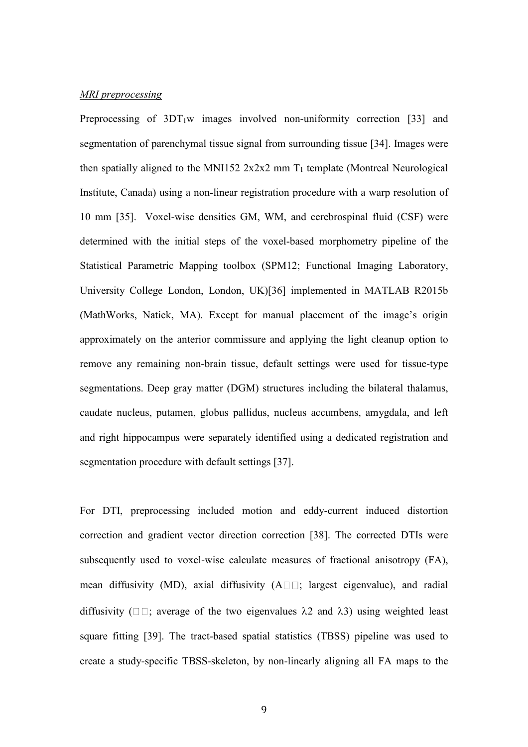#### *MRI preprocessing*

Preprocessing of  $3DT_1w$  images involved non-uniformity correction [33] and segmentation of parenchymal tissue signal from surrounding tissue [34]. Images were then spatially aligned to the MNI152  $2x2x2$  mm  $T_1$  template (Montreal Neurological Institute, Canada) using a non-linear registration procedure with a warp resolution of 10 mm [35]. Voxel-wise densities GM, WM, and cerebrospinal fluid (CSF) were determined with the initial steps of the voxel-based morphometry pipeline of the Statistical Parametric Mapping toolbox (SPM12; Functional Imaging Laboratory, University College London, London, UK)[36] implemented in MATLAB R2015b (MathWorks, Natick, MA). Except for manual placement of the image's origin approximately on the anterior commissure and applying the light cleanup option to remove any remaining non-brain tissue, default settings were used for tissue-type segmentations. Deep gray matter (DGM) structures including the bilateral thalamus, caudate nucleus, putamen, globus pallidus, nucleus accumbens, amygdala, and left and right hippocampus were separately identified using a dedicated registration and segmentation procedure with default settings [37].

For DTI, preprocessing included motion and eddy-current induced distortion correction and gradient vector direction correction [38]. The corrected DTIs were subsequently used to voxel-wise calculate measures of fractional anisotropy (FA), mean diffusivity (MD), axial diffusivity  $(A \square \square)$ ; largest eigenvalue), and radial diffusivity ( $\square \square$ ; average of the two eigenvalues  $\lambda$ 2 and  $\lambda$ 3) using weighted least square fitting [39]. The tract-based spatial statistics (TBSS) pipeline was used to create a study-specific TBSS-skeleton, by non-linearly aligning all FA maps to the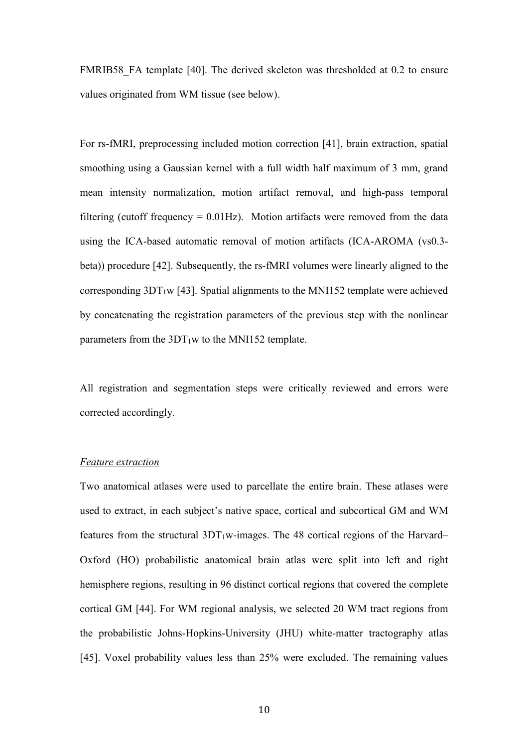FMRIB58 FA template [40]. The derived skeleton was thresholded at 0.2 to ensure values originated from WM tissue (see below).

For rs-fMRI, preprocessing included motion correction [41], brain extraction, spatial smoothing using a Gaussian kernel with a full width half maximum of 3 mm, grand mean intensity normalization, motion artifact removal, and high-pass temporal filtering (cutoff frequency  $= 0.01$ Hz). Motion artifacts were removed from the data using the ICA-based automatic removal of motion artifacts (ICA-AROMA (vs0.3 beta)) procedure [42]. Subsequently, the rs-fMRI volumes were linearly aligned to the corresponding  $3DT_1w$  [43]. Spatial alignments to the MNI152 template were achieved by concatenating the registration parameters of the previous step with the nonlinear parameters from the  $3DT_1w$  to the MNI152 template.

All registration and segmentation steps were critically reviewed and errors were corrected accordingly.

#### *Feature extraction*

Two anatomical atlases were used to parcellate the entire brain. These atlases were used to extract, in each subject's native space, cortical and subcortical GM and WM features from the structural  $3DT_1w$ -images. The 48 cortical regions of the Harvard– Oxford (HO) probabilistic anatomical brain atlas were split into left and right hemisphere regions, resulting in 96 distinct cortical regions that covered the complete cortical GM [44]. For WM regional analysis, we selected 20 WM tract regions from the probabilistic Johns-Hopkins-University (JHU) white-matter tractography atlas [45]. Voxel probability values less than 25% were excluded. The remaining values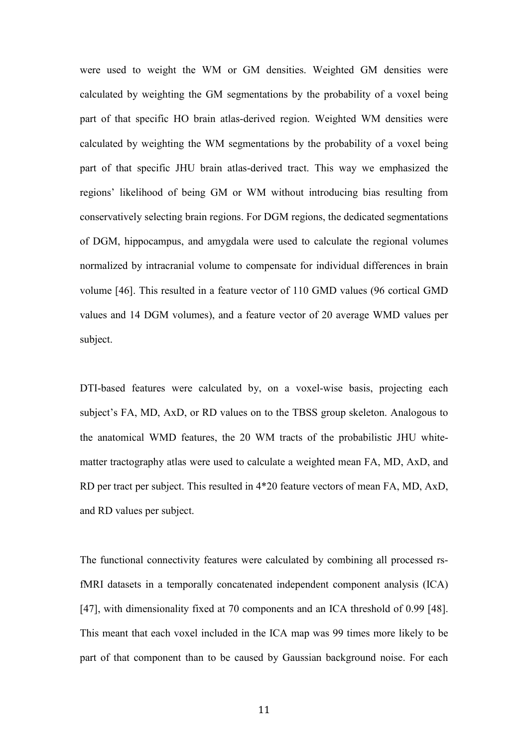were used to weight the WM or GM densities. Weighted GM densities were calculated by weighting the GM segmentations by the probability of a voxel being part of that specific HO brain atlas-derived region. Weighted WM densities were calculated by weighting the WM segmentations by the probability of a voxel being part of that specific JHU brain atlas-derived tract. This way we emphasized the regions' likelihood of being GM or WM without introducing bias resulting from conservatively selecting brain regions. For DGM regions, the dedicated segmentations of DGM, hippocampus, and amygdala were used to calculate the regional volumes normalized by intracranial volume to compensate for individual differences in brain volume [46]. This resulted in a feature vector of 110 GMD values (96 cortical GMD values and 14 DGM volumes), and a feature vector of 20 average WMD values per subject.

DTI-based features were calculated by, on a voxel-wise basis, projecting each subject's FA, MD, AxD, or RD values on to the TBSS group skeleton. Analogous to the anatomical WMD features, the 20 WM tracts of the probabilistic JHU whitematter tractography atlas were used to calculate a weighted mean FA, MD, AxD, and RD per tract per subject. This resulted in 4\*20 feature vectors of mean FA, MD, AxD, and RD values per subject.

The functional connectivity features were calculated by combining all processed rsfMRI datasets in a temporally concatenated independent component analysis (ICA) [47], with dimensionality fixed at 70 components and an ICA threshold of 0.99 [48]. This meant that each voxel included in the ICA map was 99 times more likely to be part of that component than to be caused by Gaussian background noise. For each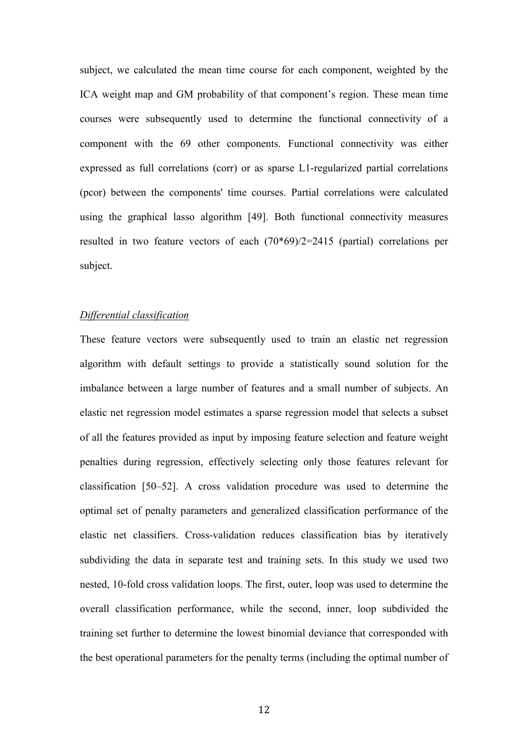subject, we calculated the mean time course for each component, weighted by the ICA weight map and GM probability of that component's region. These mean time courses were subsequently used to determine the functional connectivity of a component with the 69 other components. Functional connectivity was either expressed as full correlations (corr) or as sparse L1-regularized partial correlations (pcor) between the components' time courses. Partial correlations were calculated using the graphical lasso algorithm [49]. Both functional connectivity measures resulted in two feature vectors of each (70\*69)/2=2415 (partial) correlations per subject.

### *Differential classification*

These feature vectors were subsequently used to train an elastic net regression algorithm with default settings to provide a statistically sound solution for the imbalance between a large number of features and a small number of subjects. An elastic net regression model estimates a sparse regression model that selects a subset of all the features provided as input by imposing feature selection and feature weight penalties during regression, effectively selecting only those features relevant for classification [50–52]. A cross validation procedure was used to determine the optimal set of penalty parameters and generalized classification performance of the elastic net classifiers. Cross-validation reduces classification bias by iteratively subdividing the data in separate test and training sets. In this study we used two nested, 10-fold cross validation loops. The first, outer, loop was used to determine the overall classification performance, while the second, inner, loop subdivided the training set further to determine the lowest binomial deviance that corresponded with the best operational parameters for the penalty terms (including the optimal number of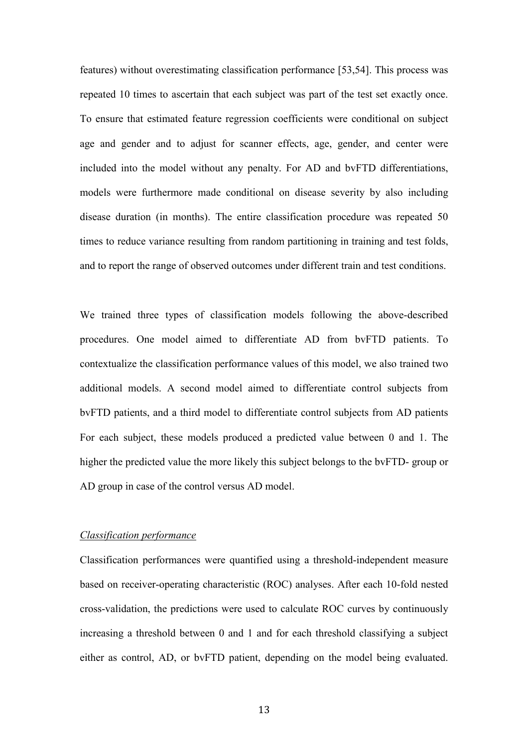features) without overestimating classification performance [53,54]. This process was repeated 10 times to ascertain that each subject was part of the test set exactly once. To ensure that estimated feature regression coefficients were conditional on subject age and gender and to adjust for scanner effects, age, gender, and center were included into the model without any penalty. For AD and bvFTD differentiations, models were furthermore made conditional on disease severity by also including disease duration (in months). The entire classification procedure was repeated 50 times to reduce variance resulting from random partitioning in training and test folds, and to report the range of observed outcomes under different train and test conditions.

We trained three types of classification models following the above-described procedures. One model aimed to differentiate AD from bvFTD patients. To contextualize the classification performance values of this model, we also trained two additional models. A second model aimed to differentiate control subjects from bvFTD patients, and a third model to differentiate control subjects from AD patients For each subject, these models produced a predicted value between 0 and 1. The higher the predicted value the more likely this subject belongs to the bvFTD- group or AD group in case of the control versus AD model.

#### *Classification performance*

Classification performances were quantified using a threshold-independent measure based on receiver-operating characteristic (ROC) analyses. After each 10-fold nested cross-validation, the predictions were used to calculate ROC curves by continuously increasing a threshold between 0 and 1 and for each threshold classifying a subject either as control, AD, or bvFTD patient, depending on the model being evaluated.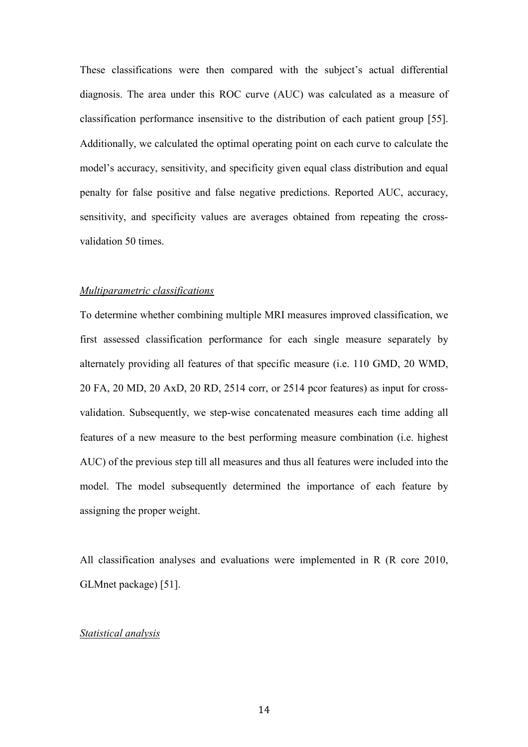These classifications were then compared with the subject's actual differential diagnosis. The area under this ROC curve (AUC) was calculated as a measure of classification performance insensitive to the distribution of each patient group [55]. Additionally, we calculated the optimal operating point on each curve to calculate the model's accuracy, sensitivity, and specificity given equal class distribution and equal penalty for false positive and false negative predictions. Reported AUC, accuracy, sensitivity, and specificity values are averages obtained from repeating the crossvalidation 50 times.

#### *Multiparametric classifications*

To determine whether combining multiple MRI measures improved classification, we first assessed classification performance for each single measure separately by alternately providing all features of that specific measure (i.e. 110 GMD, 20 WMD, 20 FA, 20 MD, 20 AxD, 20 RD, 2514 corr, or 2514 pcor features) as input for crossvalidation. Subsequently, we step-wise concatenated measures each time adding all features of a new measure to the best performing measure combination (i.e. highest AUC) of the previous step till all measures and thus all features were included into the model. The model subsequently determined the importance of each feature by assigning the proper weight.

All classification analyses and evaluations were implemented in R (R core 2010, GLMnet package) [51].

#### *Statistical analysis*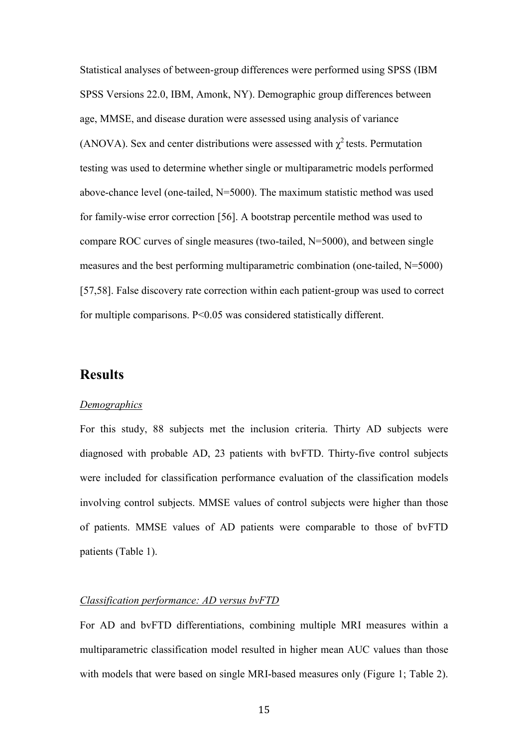Statistical analyses of between-group differences were performed using SPSS (IBM SPSS Versions 22.0, IBM, Amonk, NY). Demographic group differences between age, MMSE, and disease duration were assessed using analysis of variance (ANOVA). Sex and center distributions were assessed with  $\chi^2$  tests. Permutation testing was used to determine whether single or multiparametric models performed above-chance level (one-tailed, N=5000). The maximum statistic method was used for family-wise error correction [56]. A bootstrap percentile method was used to compare ROC curves of single measures (two-tailed, N=5000), and between single measures and the best performing multiparametric combination (one-tailed, N=5000) [57,58]. False discovery rate correction within each patient-group was used to correct for multiple comparisons. P<0.05 was considered statistically different.

## **Results**

#### *Demographics*

For this study, 88 subjects met the inclusion criteria. Thirty AD subjects were diagnosed with probable AD, 23 patients with bvFTD. Thirty-five control subjects were included for classification performance evaluation of the classification models involving control subjects. MMSE values of control subjects were higher than those of patients. MMSE values of AD patients were comparable to those of bvFTD patients (Table 1).

#### *Classification performance: AD versus bvFTD*

For AD and bvFTD differentiations, combining multiple MRI measures within a multiparametric classification model resulted in higher mean AUC values than those with models that were based on single MRI-based measures only (Figure 1; Table 2).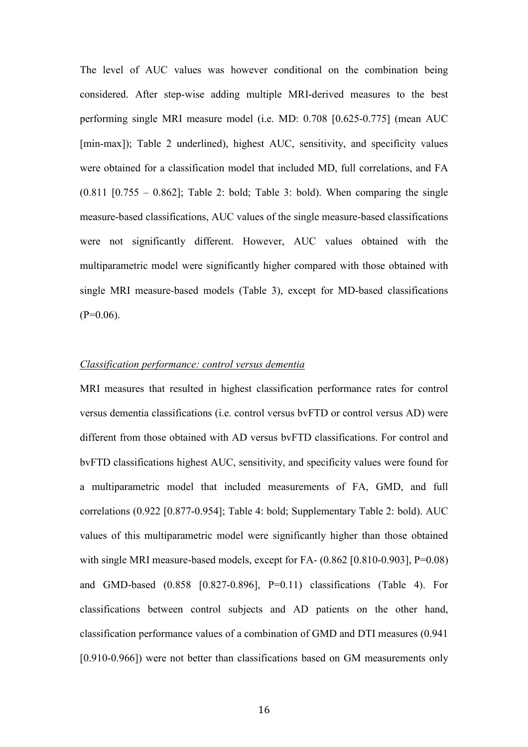The level of AUC values was however conditional on the combination being considered. After step-wise adding multiple MRI-derived measures to the best performing single MRI measure model (i.e. MD: 0.708 [0.625-0.775] (mean AUC [min-max]); Table 2 underlined), highest AUC, sensitivity, and specificity values were obtained for a classification model that included MD, full correlations, and FA  $(0.811 \; [0.755 - 0.862]$ ; Table 2: bold; Table 3: bold). When comparing the single measure-based classifications, AUC values of the single measure-based classifications were not significantly different. However, AUC values obtained with the multiparametric model were significantly higher compared with those obtained with single MRI measure-based models (Table 3), except for MD-based classifications  $(P=0.06)$ .

## *Classification performance: control versus dementia*

MRI measures that resulted in highest classification performance rates for control versus dementia classifications (i.e. control versus bvFTD or control versus AD) were different from those obtained with AD versus bvFTD classifications. For control and bvFTD classifications highest AUC, sensitivity, and specificity values were found for a multiparametric model that included measurements of FA, GMD, and full correlations (0.922 [0.877-0.954]; Table 4: bold; Supplementary Table 2: bold). AUC values of this multiparametric model were significantly higher than those obtained with single MRI measure-based models, except for FA- $(0.862 \, 10.810 - 0.903$ , P=0.08) and GMD-based (0.858 [0.827-0.896], P=0.11) classifications (Table 4). For classifications between control subjects and AD patients on the other hand, classification performance values of a combination of GMD and DTI measures (0.941 [0.910-0.966]) were not better than classifications based on GM measurements only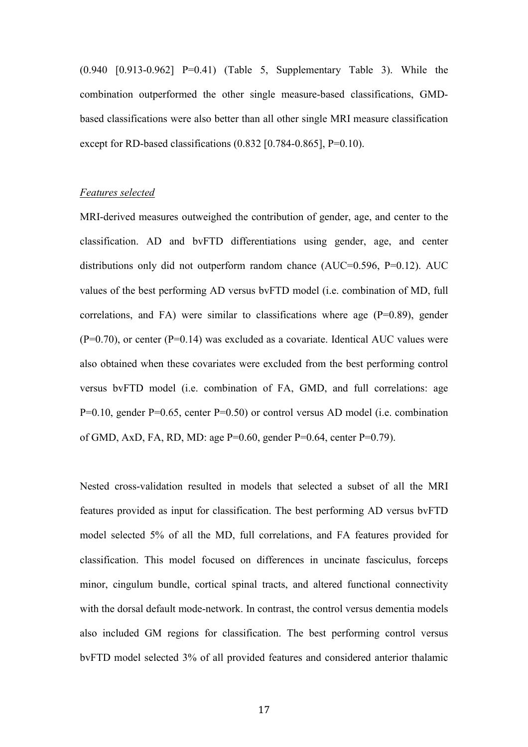(0.940 [0.913-0.962] P=0.41) (Table 5, Supplementary Table 3). While the combination outperformed the other single measure-based classifications, GMDbased classifications were also better than all other single MRI measure classification except for RD-based classifications (0.832 [0.784-0.865], P=0.10).

#### *Features selected*

MRI-derived measures outweighed the contribution of gender, age, and center to the classification. AD and bvFTD differentiations using gender, age, and center distributions only did not outperform random chance (AUC=0.596, P=0.12). AUC values of the best performing AD versus bvFTD model (i.e. combination of MD, full correlations, and FA) were similar to classifications where age (P=0.89), gender  $(P=0.70)$ , or center  $(P=0.14)$  was excluded as a covariate. Identical AUC values were also obtained when these covariates were excluded from the best performing control versus bvFTD model (i.e. combination of FA, GMD, and full correlations: age P=0.10, gender P=0.65, center P=0.50) or control versus AD model (i.e. combination of GMD, AxD, FA, RD, MD: age P=0.60, gender P=0.64, center P=0.79).

Nested cross-validation resulted in models that selected a subset of all the MRI features provided as input for classification. The best performing AD versus bvFTD model selected 5% of all the MD, full correlations, and FA features provided for classification. This model focused on differences in uncinate fasciculus, forceps minor, cingulum bundle, cortical spinal tracts, and altered functional connectivity with the dorsal default mode-network. In contrast, the control versus dementia models also included GM regions for classification. The best performing control versus bvFTD model selected 3% of all provided features and considered anterior thalamic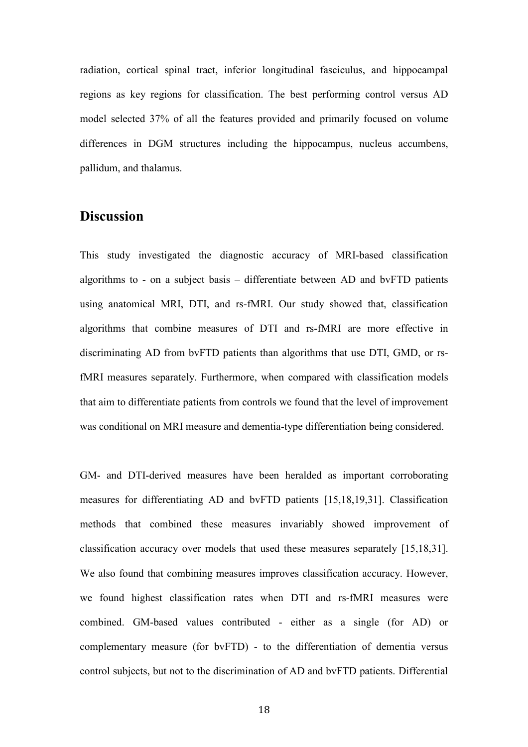radiation, cortical spinal tract, inferior longitudinal fasciculus, and hippocampal regions as key regions for classification. The best performing control versus AD model selected 37% of all the features provided and primarily focused on volume differences in DGM structures including the hippocampus, nucleus accumbens, pallidum, and thalamus.

# **Discussion**

This study investigated the diagnostic accuracy of MRI-based classification algorithms to - on a subject basis – differentiate between AD and bvFTD patients using anatomical MRI, DTI, and rs-fMRI. Our study showed that, classification algorithms that combine measures of DTI and rs-fMRI are more effective in discriminating AD from bvFTD patients than algorithms that use DTI, GMD, or rsfMRI measures separately. Furthermore, when compared with classification models that aim to differentiate patients from controls we found that the level of improvement was conditional on MRI measure and dementia-type differentiation being considered.

GM- and DTI-derived measures have been heralded as important corroborating measures for differentiating AD and bvFTD patients [15,18,19,31]. Classification methods that combined these measures invariably showed improvement of classification accuracy over models that used these measures separately [15,18,31]. We also found that combining measures improves classification accuracy. However, we found highest classification rates when DTI and rs-fMRI measures were combined. GM-based values contributed - either as a single (for AD) or complementary measure (for bvFTD) - to the differentiation of dementia versus control subjects, but not to the discrimination of AD and bvFTD patients. Differential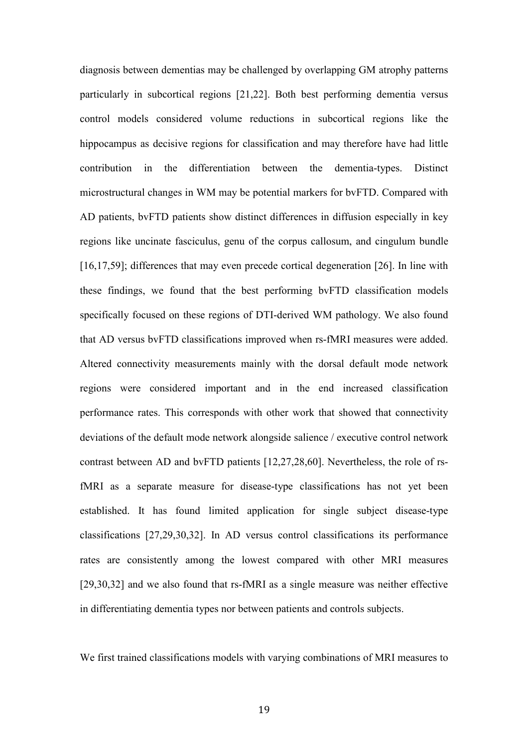diagnosis between dementias may be challenged by overlapping GM atrophy patterns particularly in subcortical regions [21,22]. Both best performing dementia versus control models considered volume reductions in subcortical regions like the hippocampus as decisive regions for classification and may therefore have had little contribution in the differentiation between the dementia-types. Distinct microstructural changes in WM may be potential markers for bvFTD. Compared with AD patients, bvFTD patients show distinct differences in diffusion especially in key regions like uncinate fasciculus, genu of the corpus callosum, and cingulum bundle [16,17,59]; differences that may even precede cortical degeneration [26]. In line with these findings, we found that the best performing bvFTD classification models specifically focused on these regions of DTI-derived WM pathology. We also found that AD versus bvFTD classifications improved when rs-fMRI measures were added. Altered connectivity measurements mainly with the dorsal default mode network regions were considered important and in the end increased classification performance rates. This corresponds with other work that showed that connectivity deviations of the default mode network alongside salience / executive control network contrast between AD and bvFTD patients [12,27,28,60]. Nevertheless, the role of rsfMRI as a separate measure for disease-type classifications has not yet been established. It has found limited application for single subject disease-type classifications [27,29,30,32]. In AD versus control classifications its performance rates are consistently among the lowest compared with other MRI measures [29,30,32] and we also found that rs-fMRI as a single measure was neither effective in differentiating dementia types nor between patients and controls subjects.

We first trained classifications models with varying combinations of MRI measures to

19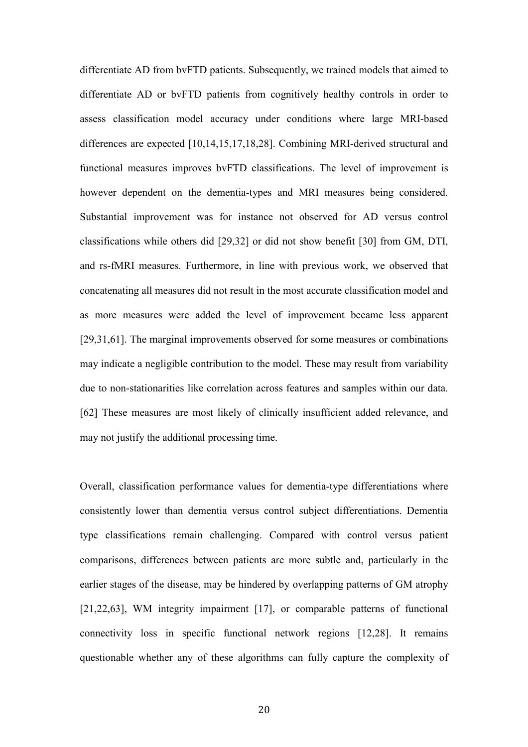differentiate AD from bvFTD patients. Subsequently, we trained models that aimed to differentiate AD or bvFTD patients from cognitively healthy controls in order to assess classification model accuracy under conditions where large MRI-based differences are expected [10,14,15,17,18,28]. Combining MRI-derived structural and functional measures improves bvFTD classifications. The level of improvement is however dependent on the dementia-types and MRI measures being considered. Substantial improvement was for instance not observed for AD versus control classifications while others did [29,32] or did not show benefit [30] from GM, DTI, and rs-fMRI measures. Furthermore, in line with previous work, we observed that concatenating all measures did not result in the most accurate classification model and as more measures were added the level of improvement became less apparent [29,31,61]. The marginal improvements observed for some measures or combinations may indicate a negligible contribution to the model. These may result from variability due to non-stationarities like correlation across features and samples within our data. [62] These measures are most likely of clinically insufficient added relevance, and may not justify the additional processing time.

Overall, classification performance values for dementia-type differentiations where consistently lower than dementia versus control subject differentiations. Dementia type classifications remain challenging. Compared with control versus patient comparisons, differences between patients are more subtle and, particularly in the earlier stages of the disease, may be hindered by overlapping patterns of GM atrophy [21,22,63], WM integrity impairment [17], or comparable patterns of functional connectivity loss in specific functional network regions [12,28]. It remains questionable whether any of these algorithms can fully capture the complexity of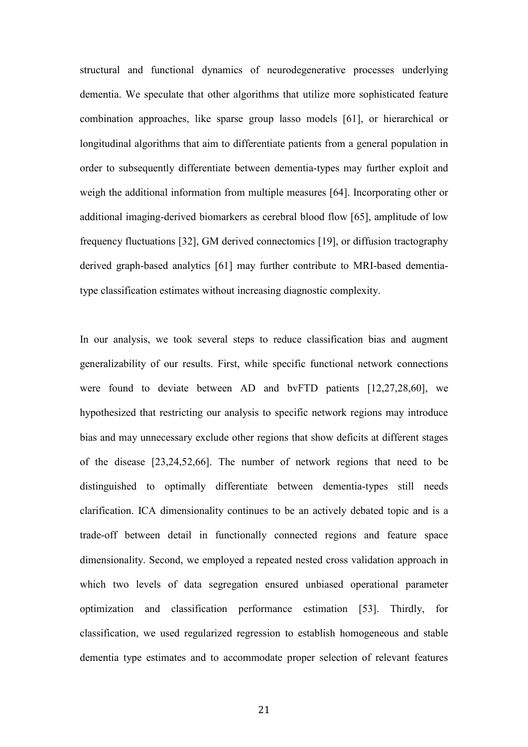structural and functional dynamics of neurodegenerative processes underlying dementia. We speculate that other algorithms that utilize more sophisticated feature combination approaches, like sparse group lasso models [61], or hierarchical or longitudinal algorithms that aim to differentiate patients from a general population in order to subsequently differentiate between dementia-types may further exploit and weigh the additional information from multiple measures [64]. Incorporating other or additional imaging-derived biomarkers as cerebral blood flow [65], amplitude of low frequency fluctuations [32], GM derived connectomics [19], or diffusion tractography derived graph-based analytics [61] may further contribute to MRI-based dementiatype classification estimates without increasing diagnostic complexity.

In our analysis, we took several steps to reduce classification bias and augment generalizability of our results. First, while specific functional network connections were found to deviate between AD and bvFTD patients [12,27,28,60], we hypothesized that restricting our analysis to specific network regions may introduce bias and may unnecessary exclude other regions that show deficits at different stages of the disease [23,24,52,66]. The number of network regions that need to be distinguished to optimally differentiate between dementia-types still needs clarification. ICA dimensionality continues to be an actively debated topic and is a trade-off between detail in functionally connected regions and feature space dimensionality. Second, we employed a repeated nested cross validation approach in which two levels of data segregation ensured unbiased operational parameter optimization and classification performance estimation [53]. Thirdly, for classification, we used regularized regression to establish homogeneous and stable dementia type estimates and to accommodate proper selection of relevant features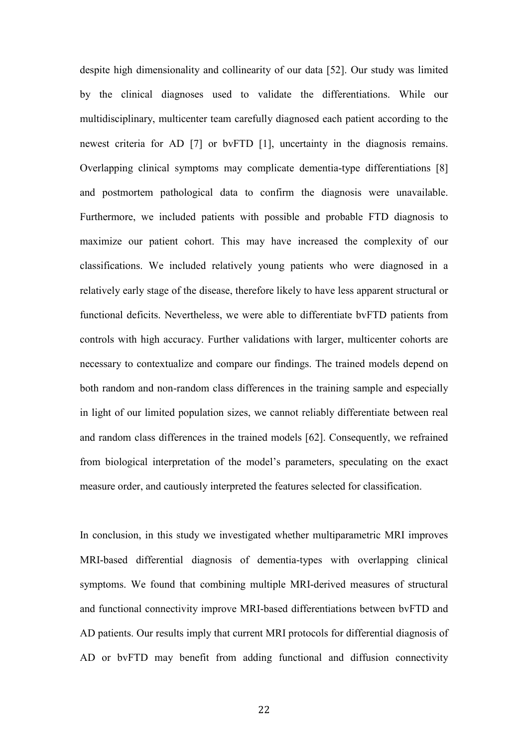despite high dimensionality and collinearity of our data [52]. Our study was limited by the clinical diagnoses used to validate the differentiations. While our multidisciplinary, multicenter team carefully diagnosed each patient according to the newest criteria for AD [7] or bvFTD [1], uncertainty in the diagnosis remains. Overlapping clinical symptoms may complicate dementia-type differentiations [8] and postmortem pathological data to confirm the diagnosis were unavailable. Furthermore, we included patients with possible and probable FTD diagnosis to maximize our patient cohort. This may have increased the complexity of our classifications. We included relatively young patients who were diagnosed in a relatively early stage of the disease, therefore likely to have less apparent structural or functional deficits. Nevertheless, we were able to differentiate bvFTD patients from controls with high accuracy. Further validations with larger, multicenter cohorts are necessary to contextualize and compare our findings. The trained models depend on both random and non-random class differences in the training sample and especially in light of our limited population sizes, we cannot reliably differentiate between real and random class differences in the trained models [62]. Consequently, we refrained from biological interpretation of the model's parameters, speculating on the exact measure order, and cautiously interpreted the features selected for classification.

In conclusion, in this study we investigated whether multiparametric MRI improves MRI-based differential diagnosis of dementia-types with overlapping clinical symptoms. We found that combining multiple MRI-derived measures of structural and functional connectivity improve MRI-based differentiations between bvFTD and AD patients. Our results imply that current MRI protocols for differential diagnosis of AD or bvFTD may benefit from adding functional and diffusion connectivity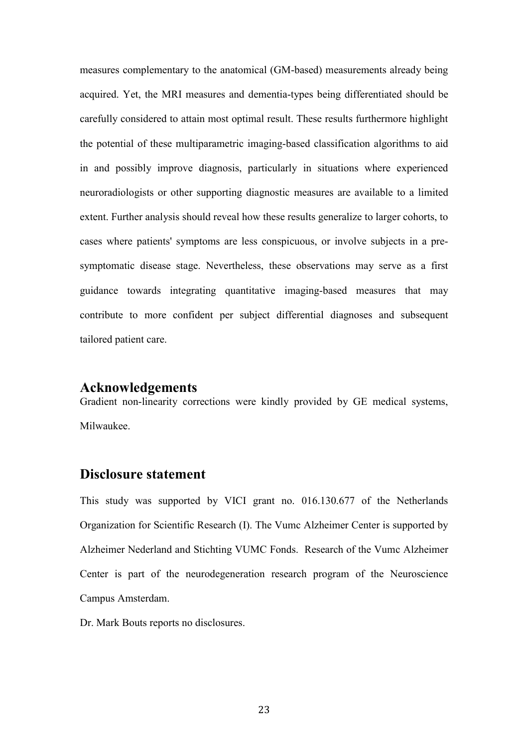measures complementary to the anatomical (GM-based) measurements already being acquired. Yet, the MRI measures and dementia-types being differentiated should be carefully considered to attain most optimal result. These results furthermore highlight the potential of these multiparametric imaging-based classification algorithms to aid in and possibly improve diagnosis, particularly in situations where experienced neuroradiologists or other supporting diagnostic measures are available to a limited extent. Further analysis should reveal how these results generalize to larger cohorts, to cases where patients' symptoms are less conspicuous, or involve subjects in a presymptomatic disease stage. Nevertheless, these observations may serve as a first guidance towards integrating quantitative imaging-based measures that may contribute to more confident per subject differential diagnoses and subsequent tailored patient care.

## **Acknowledgements**

Gradient non-linearity corrections were kindly provided by GE medical systems, Milwaukee.

## **Disclosure statement**

This study was supported by VICI grant no. 016.130.677 of the Netherlands Organization for Scientific Research (I). The Vumc Alzheimer Center is supported by Alzheimer Nederland and Stichting VUMC Fonds. Research of the Vumc Alzheimer Center is part of the neurodegeneration research program of the Neuroscience Campus Amsterdam.

Dr. Mark Bouts reports no disclosures.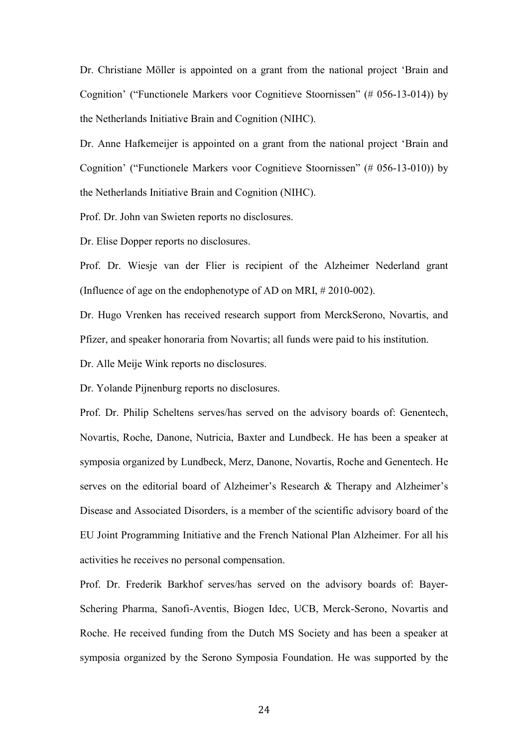Dr. Christiane Möller is appointed on a grant from the national project 'Brain and Cognition' ("Functionele Markers voor Cognitieve Stoornissen" (# 056-13-014)) by the Netherlands Initiative Brain and Cognition (NIHC).

Dr. Anne Hafkemeijer is appointed on a grant from the national project 'Brain and Cognition' ("Functionele Markers voor Cognitieve Stoornissen" (# 056-13-010)) by the Netherlands Initiative Brain and Cognition (NIHC).

Prof. Dr. John van Swieten reports no disclosures.

Dr. Elise Dopper reports no disclosures.

Prof. Dr. Wiesje van der Flier is recipient of the Alzheimer Nederland grant (Influence of age on the endophenotype of AD on MRI, # 2010-002).

Dr. Hugo Vrenken has received research support from MerckSerono, Novartis, and Pfizer, and speaker honoraria from Novartis; all funds were paid to his institution.

Dr. Alle Meije Wink reports no disclosures.

Dr. Yolande Pijnenburg reports no disclosures.

Prof. Dr. Philip Scheltens serves/has served on the advisory boards of: Genentech, Novartis, Roche, Danone, Nutricia, Baxter and Lundbeck. He has been a speaker at symposia organized by Lundbeck, Merz, Danone, Novartis, Roche and Genentech. He serves on the editorial board of Alzheimer's Research & Therapy and Alzheimer's Disease and Associated Disorders, is a member of the scientific advisory board of the EU Joint Programming Initiative and the French National Plan Alzheimer. For all his activities he receives no personal compensation.

Prof. Dr. Frederik Barkhof serves/has served on the advisory boards of: Bayer-Schering Pharma, Sanofi-Aventis, Biogen Idec, UCB, Merck-Serono, Novartis and Roche. He received funding from the Dutch MS Society and has been a speaker at symposia organized by the Serono Symposia Foundation. He was supported by the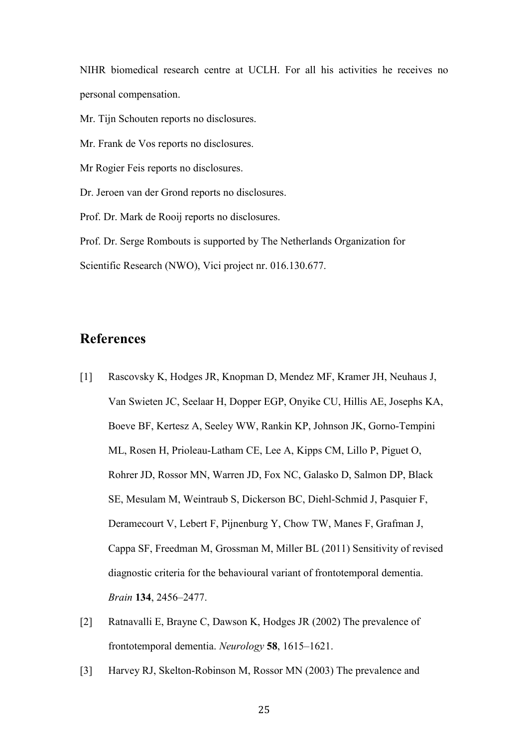NIHR biomedical research centre at UCLH. For all his activities he receives no personal compensation.

Mr. Tijn Schouten reports no disclosures.

Mr. Frank de Vos reports no disclosures.

Mr Rogier Feis reports no disclosures.

Dr. Jeroen van der Grond reports no disclosures.

Prof. Dr. Mark de Rooij reports no disclosures.

Prof. Dr. Serge Rombouts is supported by The Netherlands Organization for Scientific Research (NWO), Vici project nr. 016.130.677.

# **References**

- [1] Rascovsky K, Hodges JR, Knopman D, Mendez MF, Kramer JH, Neuhaus J, Van Swieten JC, Seelaar H, Dopper EGP, Onyike CU, Hillis AE, Josephs KA, Boeve BF, Kertesz A, Seeley WW, Rankin KP, Johnson JK, Gorno-Tempini ML, Rosen H, Prioleau-Latham CE, Lee A, Kipps CM, Lillo P, Piguet O, Rohrer JD, Rossor MN, Warren JD, Fox NC, Galasko D, Salmon DP, Black SE, Mesulam M, Weintraub S, Dickerson BC, Diehl-Schmid J, Pasquier F, Deramecourt V, Lebert F, Pijnenburg Y, Chow TW, Manes F, Grafman J, Cappa SF, Freedman M, Grossman M, Miller BL (2011) Sensitivity of revised diagnostic criteria for the behavioural variant of frontotemporal dementia. *Brain* **134**, 2456–2477.
- [2] Ratnavalli E, Brayne C, Dawson K, Hodges JR (2002) The prevalence of frontotemporal dementia. *Neurology* **58**, 1615–1621.
- [3] Harvey RJ, Skelton-Robinson M, Rossor MN (2003) The prevalence and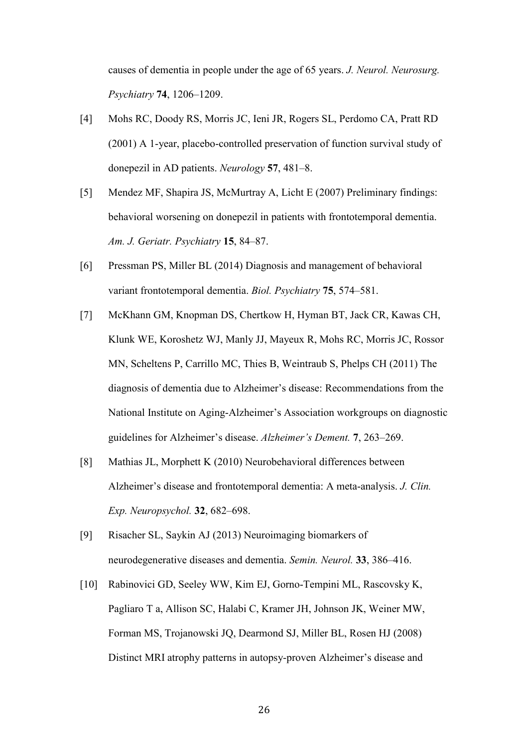causes of dementia in people under the age of 65 years. *J. Neurol. Neurosurg. Psychiatry* **74**, 1206–1209.

- [4] Mohs RC, Doody RS, Morris JC, Ieni JR, Rogers SL, Perdomo CA, Pratt RD (2001) A 1-year, placebo-controlled preservation of function survival study of donepezil in AD patients. *Neurology* **57**, 481–8.
- [5] Mendez MF, Shapira JS, McMurtray A, Licht E (2007) Preliminary findings: behavioral worsening on donepezil in patients with frontotemporal dementia. *Am. J. Geriatr. Psychiatry* **15**, 84–87.
- [6] Pressman PS, Miller BL (2014) Diagnosis and management of behavioral variant frontotemporal dementia. *Biol. Psychiatry* **75**, 574–581.
- [7] McKhann GM, Knopman DS, Chertkow H, Hyman BT, Jack CR, Kawas CH, Klunk WE, Koroshetz WJ, Manly JJ, Mayeux R, Mohs RC, Morris JC, Rossor MN, Scheltens P, Carrillo MC, Thies B, Weintraub S, Phelps CH (2011) The diagnosis of dementia due to Alzheimer's disease: Recommendations from the National Institute on Aging-Alzheimer's Association workgroups on diagnostic guidelines for Alzheimer's disease. *Alzheimer's Dement.* **7**, 263–269.
- [8] Mathias JL, Morphett K (2010) Neurobehavioral differences between Alzheimer's disease and frontotemporal dementia: A meta-analysis. *J. Clin. Exp. Neuropsychol.* **32**, 682–698.
- [9] Risacher SL, Saykin AJ (2013) Neuroimaging biomarkers of neurodegenerative diseases and dementia. *Semin. Neurol.* **33**, 386–416.
- [10] Rabinovici GD, Seeley WW, Kim EJ, Gorno-Tempini ML, Rascovsky K, Pagliaro T a, Allison SC, Halabi C, Kramer JH, Johnson JK, Weiner MW, Forman MS, Trojanowski JQ, Dearmond SJ, Miller BL, Rosen HJ (2008) Distinct MRI atrophy patterns in autopsy-proven Alzheimer's disease and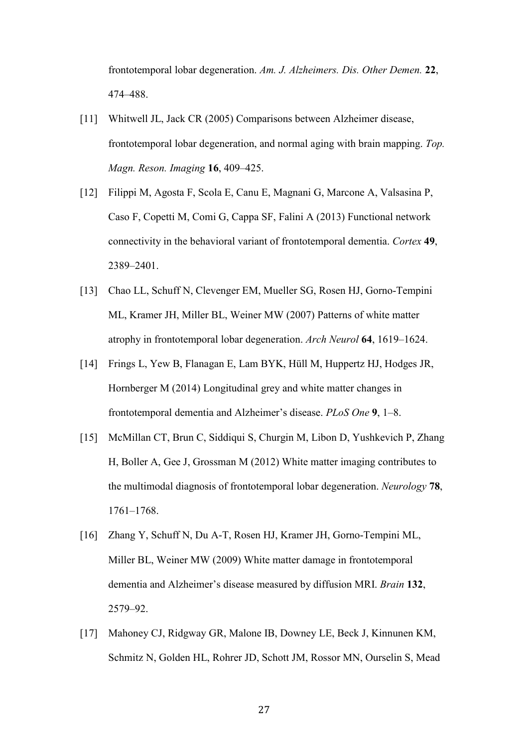frontotemporal lobar degeneration. *Am. J. Alzheimers. Dis. Other Demen.* **22**, 474–488.

- [11] Whitwell JL, Jack CR (2005) Comparisons between Alzheimer disease, frontotemporal lobar degeneration, and normal aging with brain mapping. *Top. Magn. Reson. Imaging* **16**, 409–425.
- [12] Filippi M, Agosta F, Scola E, Canu E, Magnani G, Marcone A, Valsasina P, Caso F, Copetti M, Comi G, Cappa SF, Falini A (2013) Functional network connectivity in the behavioral variant of frontotemporal dementia. *Cortex* **49**, 2389–2401.
- [13] Chao LL, Schuff N, Clevenger EM, Mueller SG, Rosen HJ, Gorno-Tempini ML, Kramer JH, Miller BL, Weiner MW (2007) Patterns of white matter atrophy in frontotemporal lobar degeneration. *Arch Neurol* **64**, 1619–1624.
- [14] Frings L, Yew B, Flanagan E, Lam BYK, Hüll M, Huppertz HJ, Hodges JR, Hornberger M (2014) Longitudinal grey and white matter changes in frontotemporal dementia and Alzheimer's disease. *PLoS One* **9**, 1–8.
- [15] McMillan CT, Brun C, Siddiqui S, Churgin M, Libon D, Yushkevich P, Zhang H, Boller A, Gee J, Grossman M (2012) White matter imaging contributes to the multimodal diagnosis of frontotemporal lobar degeneration. *Neurology* **78**, 1761–1768.
- [16] Zhang Y, Schuff N, Du A-T, Rosen HJ, Kramer JH, Gorno-Tempini ML, Miller BL, Weiner MW (2009) White matter damage in frontotemporal dementia and Alzheimer's disease measured by diffusion MRI. *Brain* **132**, 2579–92.
- [17] Mahoney CJ, Ridgway GR, Malone IB, Downey LE, Beck J, Kinnunen KM, Schmitz N, Golden HL, Rohrer JD, Schott JM, Rossor MN, Ourselin S, Mead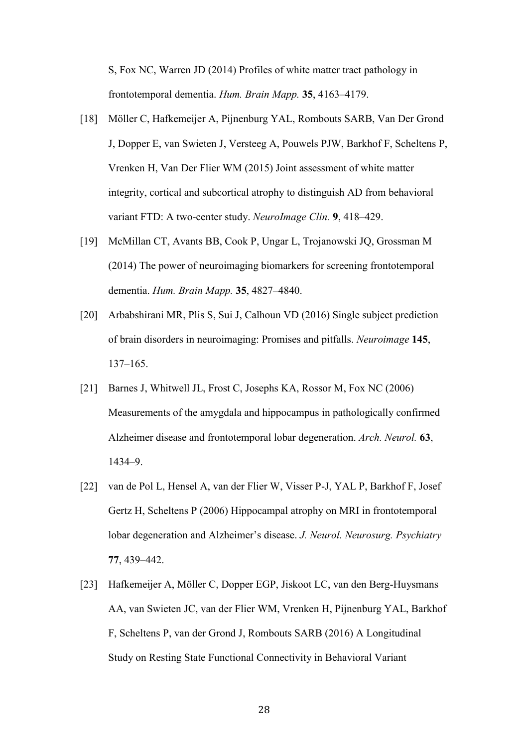S, Fox NC, Warren JD (2014) Profiles of white matter tract pathology in frontotemporal dementia. *Hum. Brain Mapp.* **35**, 4163–4179.

- [18] Möller C, Hafkemeijer A, Pijnenburg YAL, Rombouts SARB, Van Der Grond J, Dopper E, van Swieten J, Versteeg A, Pouwels PJW, Barkhof F, Scheltens P, Vrenken H, Van Der Flier WM (2015) Joint assessment of white matter integrity, cortical and subcortical atrophy to distinguish AD from behavioral variant FTD: A two-center study. *NeuroImage Clin.* **9**, 418–429.
- [19] McMillan CT, Avants BB, Cook P, Ungar L, Trojanowski JQ, Grossman M (2014) The power of neuroimaging biomarkers for screening frontotemporal dementia. *Hum. Brain Mapp.* **35**, 4827–4840.
- [20] Arbabshirani MR, Plis S, Sui J, Calhoun VD (2016) Single subject prediction of brain disorders in neuroimaging: Promises and pitfalls. *Neuroimage* **145**, 137–165.
- [21] Barnes J, Whitwell JL, Frost C, Josephs KA, Rossor M, Fox NC (2006) Measurements of the amygdala and hippocampus in pathologically confirmed Alzheimer disease and frontotemporal lobar degeneration. *Arch. Neurol.* **63**, 1434–9.
- [22] van de Pol L, Hensel A, van der Flier W, Visser P-J, YAL P, Barkhof F, Josef Gertz H, Scheltens P (2006) Hippocampal atrophy on MRI in frontotemporal lobar degeneration and Alzheimer's disease. *J. Neurol. Neurosurg. Psychiatry* **77**, 439–442.
- [23] Hafkemeijer A, Möller C, Dopper EGP, Jiskoot LC, van den Berg-Huysmans AA, van Swieten JC, van der Flier WM, Vrenken H, Pijnenburg YAL, Barkhof F, Scheltens P, van der Grond J, Rombouts SARB (2016) A Longitudinal Study on Resting State Functional Connectivity in Behavioral Variant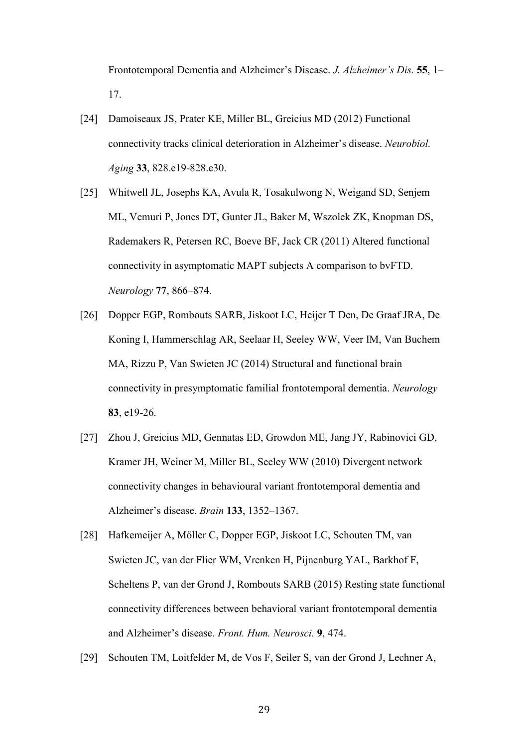Frontotemporal Dementia and Alzheimer's Disease. *J. Alzheimer's Dis.* **55**, 1– 17.

- [24] Damoiseaux JS, Prater KE, Miller BL, Greicius MD (2012) Functional connectivity tracks clinical deterioration in Alzheimer's disease. *Neurobiol. Aging* **33**, 828.e19-828.e30.
- [25] Whitwell JL, Josephs KA, Avula R, Tosakulwong N, Weigand SD, Senjem ML, Vemuri P, Jones DT, Gunter JL, Baker M, Wszolek ZK, Knopman DS, Rademakers R, Petersen RC, Boeve BF, Jack CR (2011) Altered functional connectivity in asymptomatic MAPT subjects A comparison to bvFTD. *Neurology* **77**, 866–874.
- [26] Dopper EGP, Rombouts SARB, Jiskoot LC, Heijer T Den, De Graaf JRA, De Koning I, Hammerschlag AR, Seelaar H, Seeley WW, Veer IM, Van Buchem MA, Rizzu P, Van Swieten JC (2014) Structural and functional brain connectivity in presymptomatic familial frontotemporal dementia. *Neurology* **83**, e19-26.
- [27] Zhou J, Greicius MD, Gennatas ED, Growdon ME, Jang JY, Rabinovici GD, Kramer JH, Weiner M, Miller BL, Seeley WW (2010) Divergent network connectivity changes in behavioural variant frontotemporal dementia and Alzheimer's disease. *Brain* **133**, 1352–1367.
- [28] Hafkemeijer A, Möller C, Dopper EGP, Jiskoot LC, Schouten TM, van Swieten JC, van der Flier WM, Vrenken H, Pijnenburg YAL, Barkhof F, Scheltens P, van der Grond J, Rombouts SARB (2015) Resting state functional connectivity differences between behavioral variant frontotemporal dementia and Alzheimer's disease. *Front. Hum. Neurosci.* **9**, 474.
- [29] Schouten TM, Loitfelder M, de Vos F, Seiler S, van der Grond J, Lechner A,
	- 29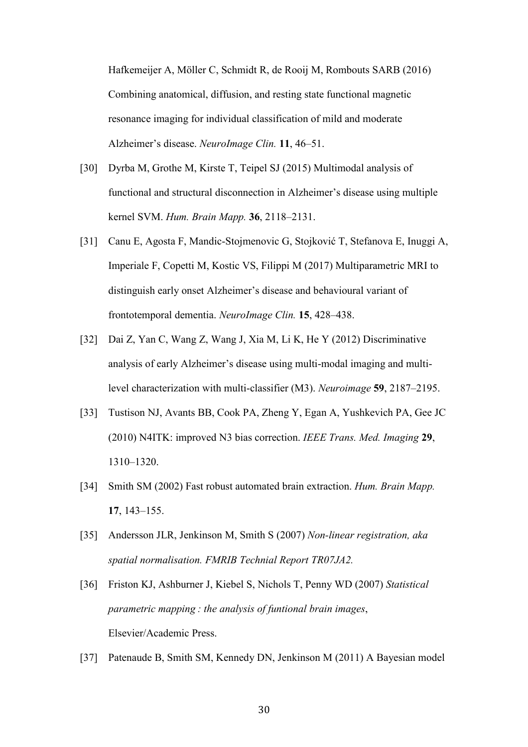Hafkemeijer A, Möller C, Schmidt R, de Rooij M, Rombouts SARB (2016) Combining anatomical, diffusion, and resting state functional magnetic resonance imaging for individual classification of mild and moderate Alzheimer's disease. *NeuroImage Clin.* **11**, 46–51.

- [30] Dyrba M, Grothe M, Kirste T, Teipel SJ (2015) Multimodal analysis of functional and structural disconnection in Alzheimer's disease using multiple kernel SVM. *Hum. Brain Mapp.* **36**, 2118–2131.
- [31] Canu E, Agosta F, Mandic-Stojmenovic G, Stojković T, Stefanova E, Inuggi A, Imperiale F, Copetti M, Kostic VS, Filippi M (2017) Multiparametric MRI to distinguish early onset Alzheimer's disease and behavioural variant of frontotemporal dementia. *NeuroImage Clin.* **15**, 428–438.
- [32] Dai Z, Yan C, Wang Z, Wang J, Xia M, Li K, He Y (2012) Discriminative analysis of early Alzheimer's disease using multi-modal imaging and multilevel characterization with multi-classifier (M3). *Neuroimage* **59**, 2187–2195.
- [33] Tustison NJ, Avants BB, Cook PA, Zheng Y, Egan A, Yushkevich PA, Gee JC (2010) N4ITK: improved N3 bias correction. *IEEE Trans. Med. Imaging* **29**, 1310–1320.
- [34] Smith SM (2002) Fast robust automated brain extraction. *Hum. Brain Mapp.* **17**, 143–155.
- [35] Andersson JLR, Jenkinson M, Smith S (2007) *Non-linear registration, aka spatial normalisation. FMRIB Technial Report TR07JA2.*
- [36] Friston KJ, Ashburner J, Kiebel S, Nichols T, Penny WD (2007) *Statistical parametric mapping : the analysis of funtional brain images*, Elsevier/Academic Press.
- [37] Patenaude B, Smith SM, Kennedy DN, Jenkinson M (2011) A Bayesian model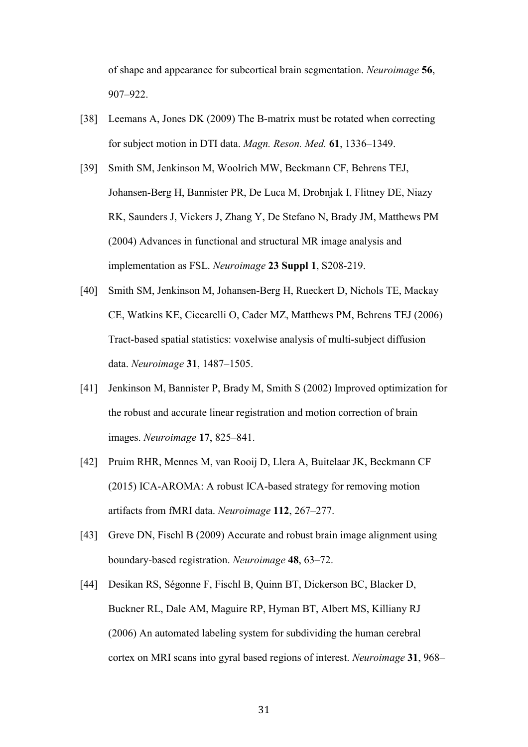of shape and appearance for subcortical brain segmentation. *Neuroimage* **56**, 907–922.

- [38] Leemans A, Jones DK (2009) The B-matrix must be rotated when correcting for subject motion in DTI data. *Magn. Reson. Med.* **61**, 1336–1349.
- [39] Smith SM, Jenkinson M, Woolrich MW, Beckmann CF, Behrens TEJ, Johansen-Berg H, Bannister PR, De Luca M, Drobnjak I, Flitney DE, Niazy RK, Saunders J, Vickers J, Zhang Y, De Stefano N, Brady JM, Matthews PM (2004) Advances in functional and structural MR image analysis and implementation as FSL. *Neuroimage* **23 Suppl 1**, S208-219.
- [40] Smith SM, Jenkinson M, Johansen-Berg H, Rueckert D, Nichols TE, Mackay CE, Watkins KE, Ciccarelli O, Cader MZ, Matthews PM, Behrens TEJ (2006) Tract-based spatial statistics: voxelwise analysis of multi-subject diffusion data. *Neuroimage* **31**, 1487–1505.
- [41] Jenkinson M, Bannister P, Brady M, Smith S (2002) Improved optimization for the robust and accurate linear registration and motion correction of brain images. *Neuroimage* **17**, 825–841.
- [42] Pruim RHR, Mennes M, van Rooij D, Llera A, Buitelaar JK, Beckmann CF (2015) ICA-AROMA: A robust ICA-based strategy for removing motion artifacts from fMRI data. *Neuroimage* **112**, 267–277.
- [43] Greve DN, Fischl B (2009) Accurate and robust brain image alignment using boundary-based registration. *Neuroimage* **48**, 63–72.
- [44] Desikan RS, Ségonne F, Fischl B, Quinn BT, Dickerson BC, Blacker D, Buckner RL, Dale AM, Maguire RP, Hyman BT, Albert MS, Killiany RJ (2006) An automated labeling system for subdividing the human cerebral cortex on MRI scans into gyral based regions of interest. *Neuroimage* **31**, 968–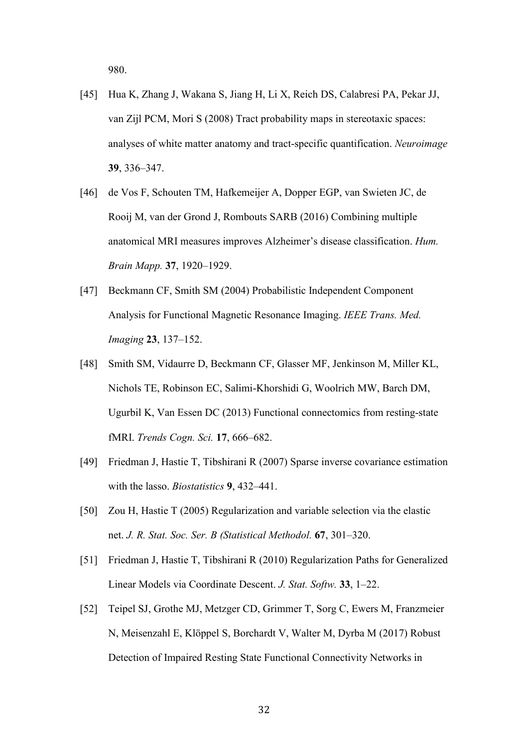980.

- [45] Hua K, Zhang J, Wakana S, Jiang H, Li X, Reich DS, Calabresi PA, Pekar JJ, van Zijl PCM, Mori S (2008) Tract probability maps in stereotaxic spaces: analyses of white matter anatomy and tract-specific quantification. *Neuroimage* **39**, 336–347.
- [46] de Vos F, Schouten TM, Hafkemeijer A, Dopper EGP, van Swieten JC, de Rooij M, van der Grond J, Rombouts SARB (2016) Combining multiple anatomical MRI measures improves Alzheimer's disease classification. *Hum. Brain Mapp.* **37**, 1920–1929.
- [47] Beckmann CF, Smith SM (2004) Probabilistic Independent Component Analysis for Functional Magnetic Resonance Imaging. *IEEE Trans. Med. Imaging* **23**, 137–152.
- [48] Smith SM, Vidaurre D, Beckmann CF, Glasser MF, Jenkinson M, Miller KL, Nichols TE, Robinson EC, Salimi-Khorshidi G, Woolrich MW, Barch DM, Ugurbil K, Van Essen DC (2013) Functional connectomics from resting-state fMRI. *Trends Cogn. Sci.* **17**, 666–682.
- [49] Friedman J, Hastie T, Tibshirani R (2007) Sparse inverse covariance estimation with the lasso. *Biostatistics* **9**, 432–441.
- [50] Zou H, Hastie T (2005) Regularization and variable selection via the elastic net. *J. R. Stat. Soc. Ser. B (Statistical Methodol.* **67**, 301–320.
- [51] Friedman J, Hastie T, Tibshirani R (2010) Regularization Paths for Generalized Linear Models via Coordinate Descent. *J. Stat. Softw.* **33**, 1–22.
- [52] Teipel SJ, Grothe MJ, Metzger CD, Grimmer T, Sorg C, Ewers M, Franzmeier N, Meisenzahl E, Klöppel S, Borchardt V, Walter M, Dyrba M (2017) Robust Detection of Impaired Resting State Functional Connectivity Networks in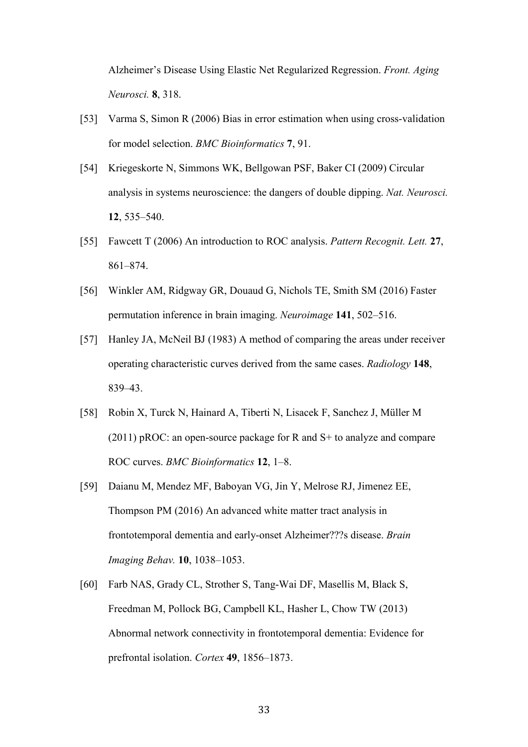Alzheimer's Disease Using Elastic Net Regularized Regression. *Front. Aging Neurosci.* **8**, 318.

- [53] Varma S, Simon R (2006) Bias in error estimation when using cross-validation for model selection. *BMC Bioinformatics* **7**, 91.
- [54] Kriegeskorte N, Simmons WK, Bellgowan PSF, Baker CI (2009) Circular analysis in systems neuroscience: the dangers of double dipping. *Nat. Neurosci.* **12**, 535–540.
- [55] Fawcett T (2006) An introduction to ROC analysis. *Pattern Recognit. Lett.* **27**, 861–874.
- [56] Winkler AM, Ridgway GR, Douaud G, Nichols TE, Smith SM (2016) Faster permutation inference in brain imaging. *Neuroimage* **141**, 502–516.
- [57] Hanley JA, McNeil BJ (1983) A method of comparing the areas under receiver operating characteristic curves derived from the same cases. *Radiology* **148**, 839–43.
- [58] Robin X, Turck N, Hainard A, Tiberti N, Lisacek F, Sanchez J, Müller M (2011) pROC: an open-source package for R and S+ to analyze and compare ROC curves. *BMC Bioinformatics* **12**, 1–8.
- [59] Daianu M, Mendez MF, Baboyan VG, Jin Y, Melrose RJ, Jimenez EE, Thompson PM (2016) An advanced white matter tract analysis in frontotemporal dementia and early-onset Alzheimer???s disease. *Brain Imaging Behav.* **10**, 1038–1053.
- [60] Farb NAS, Grady CL, Strother S, Tang-Wai DF, Masellis M, Black S, Freedman M, Pollock BG, Campbell KL, Hasher L, Chow TW (2013) Abnormal network connectivity in frontotemporal dementia: Evidence for prefrontal isolation. *Cortex* **49**, 1856–1873.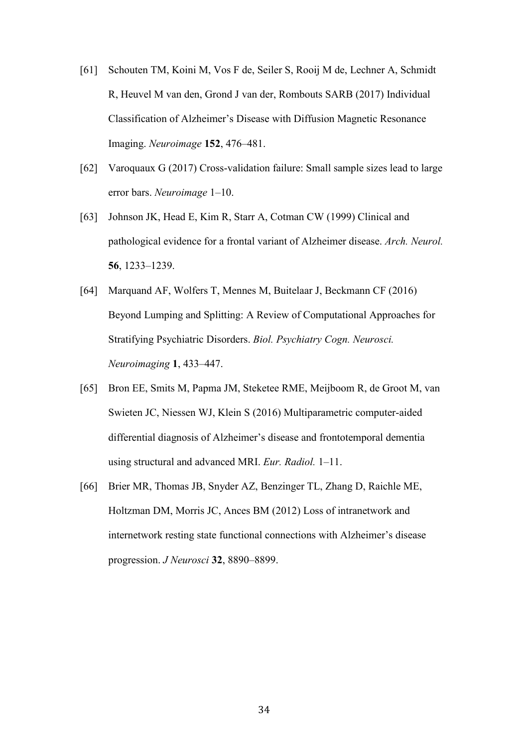- [61] Schouten TM, Koini M, Vos F de, Seiler S, Rooij M de, Lechner A, Schmidt R, Heuvel M van den, Grond J van der, Rombouts SARB (2017) Individual Classification of Alzheimer's Disease with Diffusion Magnetic Resonance Imaging. *Neuroimage* **152**, 476–481.
- [62] Varoquaux G (2017) Cross-validation failure: Small sample sizes lead to large error bars. *Neuroimage* 1–10.
- [63] Johnson JK, Head E, Kim R, Starr A, Cotman CW (1999) Clinical and pathological evidence for a frontal variant of Alzheimer disease. *Arch. Neurol.* **56**, 1233–1239.
- [64] Marquand AF, Wolfers T, Mennes M, Buitelaar J, Beckmann CF (2016) Beyond Lumping and Splitting: A Review of Computational Approaches for Stratifying Psychiatric Disorders. *Biol. Psychiatry Cogn. Neurosci. Neuroimaging* **1**, 433–447.
- [65] Bron EE, Smits M, Papma JM, Steketee RME, Meijboom R, de Groot M, van Swieten JC, Niessen WJ, Klein S (2016) Multiparametric computer-aided differential diagnosis of Alzheimer's disease and frontotemporal dementia using structural and advanced MRI. *Eur. Radiol.* 1–11.
- [66] Brier MR, Thomas JB, Snyder AZ, Benzinger TL, Zhang D, Raichle ME, Holtzman DM, Morris JC, Ances BM (2012) Loss of intranetwork and internetwork resting state functional connections with Alzheimer's disease progression. *J Neurosci* **32**, 8890–8899.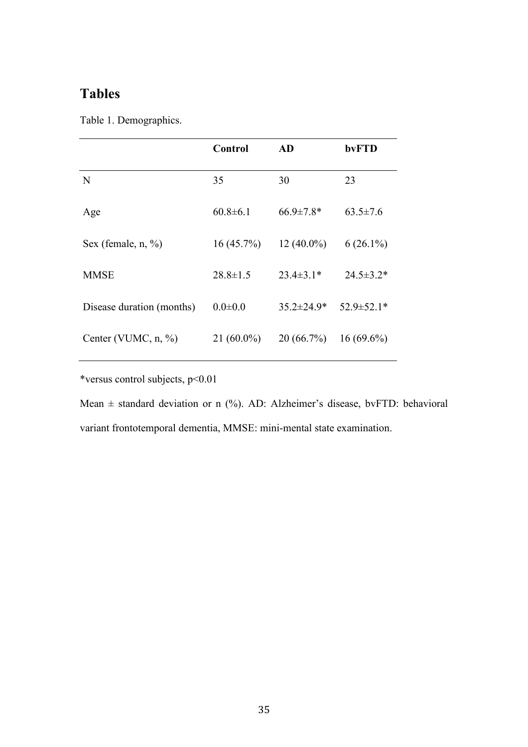# **Tables**

|  | Table 1. Demographics. |  |
|--|------------------------|--|
|--|------------------------|--|

|                           | <b>Control</b> | AD               | bvFTD            |
|---------------------------|----------------|------------------|------------------|
| N                         | 35             | 30               | 23               |
| Age                       | $60.8 \pm 6.1$ | $66.9 \pm 7.8*$  | $63.5 \pm 7.6$   |
| Sex (female, n, %)        | $16(45.7\%)$   | $12(40.0\%)$     | $6(26.1\%)$      |
| <b>MMSE</b>               | $28.8 \pm 1.5$ | $23.4 \pm 3.1*$  | $24.5 \pm 3.2*$  |
| Disease duration (months) | $0.0 \pm 0.0$  | $35.2 \pm 24.9*$ | $52.9 \pm 52.1*$ |
| Center (VUMC, $n, \%$ )   | $21(60.0\%)$   | 20(66.7%)        | $16(69.6\%)$     |

\*versus control subjects, p<0.01

Mean  $\pm$  standard deviation or n (%). AD: Alzheimer's disease, bvFTD: behavioral variant frontotemporal dementia, MMSE: mini-mental state examination.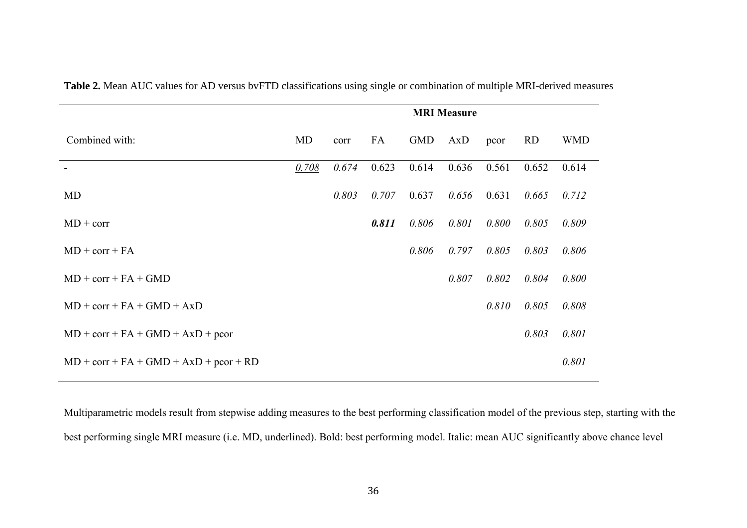|                                          | <b>MRI</b> Measure |       |       |            |       |       |           |            |
|------------------------------------------|--------------------|-------|-------|------------|-------|-------|-----------|------------|
| Combined with:                           | MD                 | corr  | FA    | <b>GMD</b> | AxD   | pcor  | <b>RD</b> | <b>WMD</b> |
|                                          | 0.708              | 0.674 | 0.623 | 0.614      | 0.636 | 0.561 | 0.652     | 0.614      |
| <b>MD</b>                                |                    | 0.803 | 0.707 | 0.637      | 0.656 | 0.631 | 0.665     | 0.712      |
| $MD + corr$                              |                    |       | 0.811 | 0.806      | 0.801 | 0.800 | 0.805     | 0.809      |
| $MD + corr + FA$                         |                    |       |       | 0.806      | 0.797 | 0.805 | 0.803     | 0.806      |
| $MD + corr + FA + GMD$                   |                    |       |       |            | 0.807 | 0.802 | 0.804     | 0.800      |
| $MD + corr + FA + GMD + AxD$             |                    |       |       |            |       | 0.810 | 0.805     | 0.808      |
| $MD + corr + FA + GMD + AxD + pcor$      |                    |       |       |            |       |       | 0.803     | 0.801      |
| $MD + corr + FA + GMD + AxD + pcor + RD$ |                    |       |       |            |       |       |           | 0.801      |

**Table 2.** Mean AUC values for AD versus bvFTD classifications using single or combination of multiple MRI-derived measures

Multiparametric models result from stepwise adding measures to the best performing classification model of the previous step, starting with the best performing single MRI measure (i.e. MD, underlined). Bold: best performing model. Italic: mean AUC significantly above chance level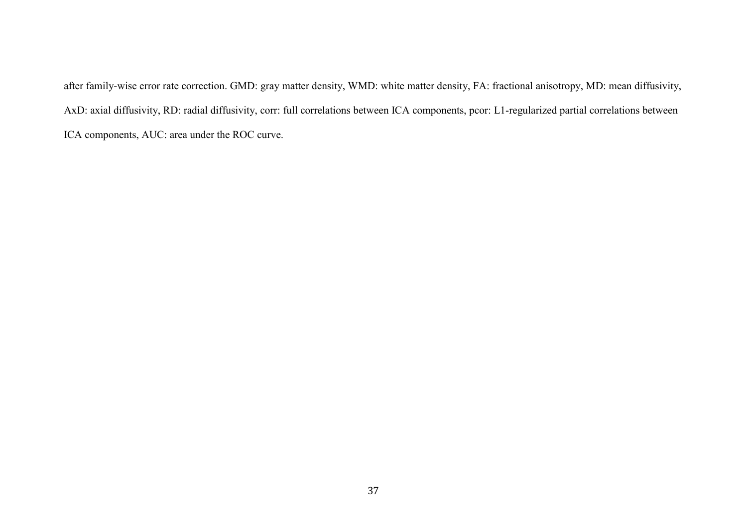after family-wise error rate correction. GMD: gray matter density, WMD: white matter density, FA: fractional anisotropy, MD: mean diffusivity, AxD: axial diffusivity, RD: radial diffusivity, corr: full correlations between ICA components, pcor: L1-regularized partial correlations between ICA components, AUC: area under the ROC curve.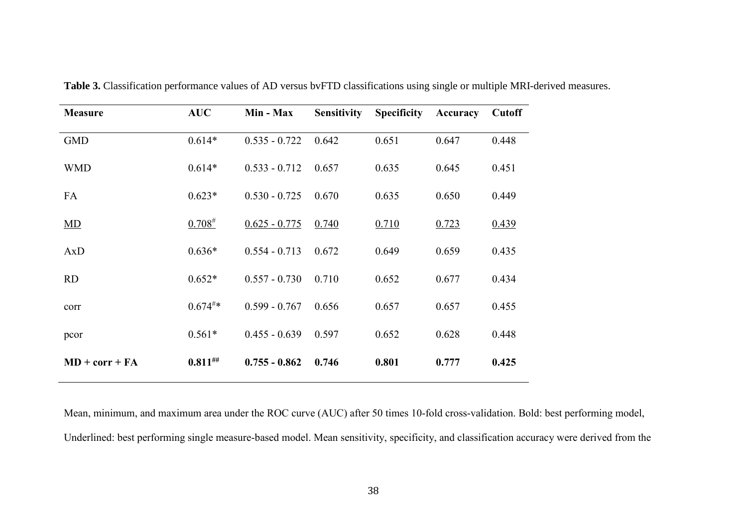| <b>Measure</b>   | <b>AUC</b>           | Min - Max       | <b>Sensitivity</b> | <b>Specificity</b> | Accuracy | <b>Cutoff</b> |
|------------------|----------------------|-----------------|--------------------|--------------------|----------|---------------|
| <b>GMD</b>       | $0.614*$             | $0.535 - 0.722$ | 0.642              | 0.651              | 0.647    | 0.448         |
| <b>WMD</b>       | $0.614*$             | $0.533 - 0.712$ | 0.657              | 0.635              | 0.645    | 0.451         |
| FA               | $0.623*$             | $0.530 - 0.725$ | 0.670              | 0.635              | 0.650    | 0.449         |
| MD               | $0.708^{#}$          | $0.625 - 0.775$ | 0.740              | 0.710              | 0.723    | 0.439         |
| AxD              | $0.636*$             | $0.554 - 0.713$ | 0.672              | 0.649              | 0.659    | 0.435         |
| <b>RD</b>        | $0.652*$             | $0.557 - 0.730$ | 0.710              | 0.652              | 0.677    | 0.434         |
| corr             | $0.674^{\text{\#}}*$ | $0.599 - 0.767$ | 0.656              | 0.657              | 0.657    | 0.455         |
| pcor             | $0.561*$             | $0.455 - 0.639$ | 0.597              | 0.652              | 0.628    | 0.448         |
| $MD + corr + FA$ | $0.811$ ##           | $0.755 - 0.862$ | 0.746              | 0.801              | 0.777    | 0.425         |

**Table 3.** Classification performance values of AD versus bvFTD classifications using single or multiple MRI-derived measures.

Mean, minimum, and maximum area under the ROC curve (AUC) after 50 times 10-fold cross-validation. Bold: best performing model, Underlined: best performing single measure-based model. Mean sensitivity, specificity, and classification accuracy were derived from the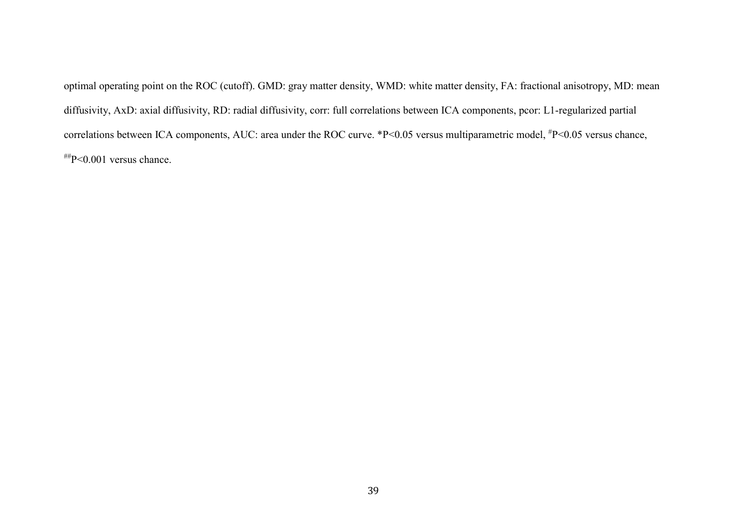optimal operating point on the ROC (cutoff). GMD: gray matter density, WMD: white matter density, FA: fractional anisotropy, MD: mean diffusivity, AxD: axial diffusivity, RD: radial diffusivity, corr: full correlations between ICA components, pcor: L1-regularized partial correlations between ICA components, AUC: area under the ROC curve. \*P<0.05 versus multiparametric model, #P<0.05 versus chance, ##P<0.001 versus chance.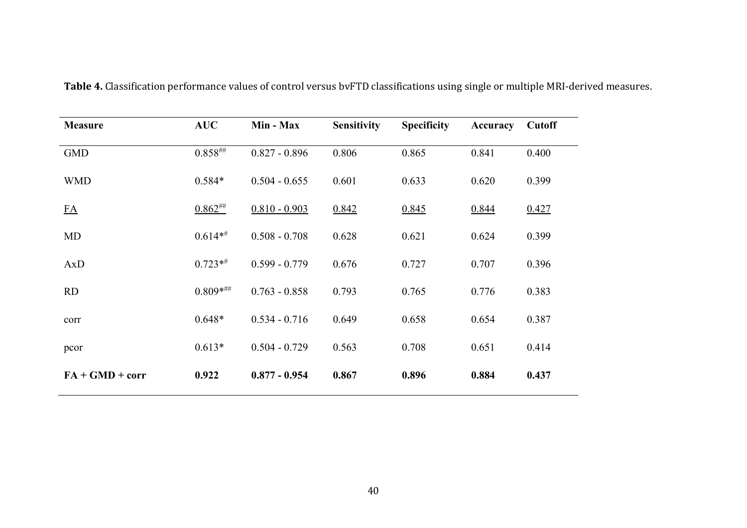| <b>Measure</b>    | <b>AUC</b>   | Min - Max       | <b>Sensitivity</b> | <b>Specificity</b> | <b>Accuracy</b> | <b>Cutoff</b> |
|-------------------|--------------|-----------------|--------------------|--------------------|-----------------|---------------|
| <b>GMD</b>        | $0.858^{#}$  | $0.827 - 0.896$ | 0.806              | 0.865              | 0.841           | 0.400         |
| <b>WMD</b>        | $0.584*$     | $0.504 - 0.655$ | 0.601              | 0.633              | 0.620           | 0.399         |
| FA                | $0.862^{$    | $0.810 - 0.903$ | 0.842              | 0.845              | 0.844           | 0.427         |
| <b>MD</b>         | $0.614**$    | $0.508 - 0.708$ | 0.628              | 0.621              | 0.624           | 0.399         |
| AxD               | $0.723**$    | $0.599 - 0.779$ | 0.676              | 0.727              | 0.707           | 0.396         |
| RD                | $0.809$ **** | $0.763 - 0.858$ | 0.793              | 0.765              | 0.776           | 0.383         |
| corr              | $0.648*$     | $0.534 - 0.716$ | 0.649              | 0.658              | 0.654           | 0.387         |
| pcor              | $0.613*$     | $0.504 - 0.729$ | 0.563              | 0.708              | 0.651           | 0.414         |
| $FA + GMD + corr$ | 0.922        | $0.877 - 0.954$ | 0.867              | 0.896              | 0.884           | 0.437         |

**Table 4.** Classification performance values of control versus bvFTD classifications using single or multiple MRI-derived measures.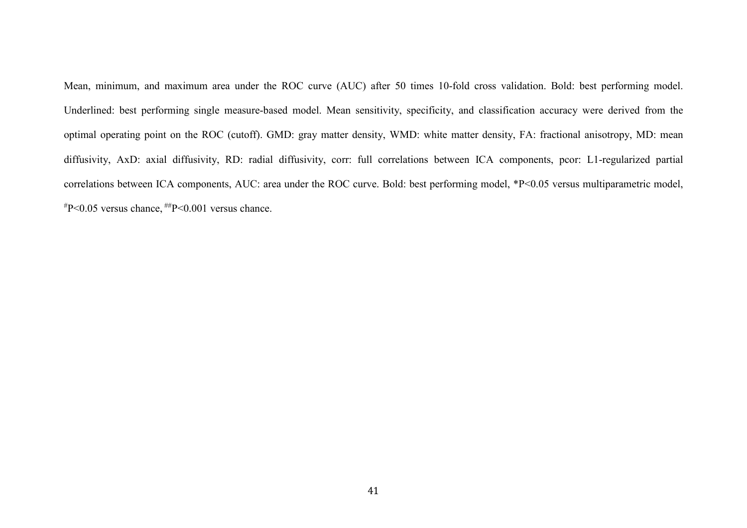Mean, minimum, and maximum area under the ROC curve (AUC) after 50 times 10-fold cross validation. Bold: best performing model. Underlined: best performing single measure-based model. Mean sensitivity, specificity, and classification accuracy were derived from the optimal operating point on the ROC (cutoff). GMD: gray matter density, WMD: white matter density, FA: fractional anisotropy, MD: mean diffusivity, AxD: axial diffusivity, RD: radial diffusivity, corr: full correlations between ICA components, pcor: L1-regularized partial correlations between ICA components, AUC: area under the ROC curve. Bold: best performing model, \*P<0.05 versus multiparametric model,  $*P<0.05$  versus chance,  $*P<0.001$  versus chance.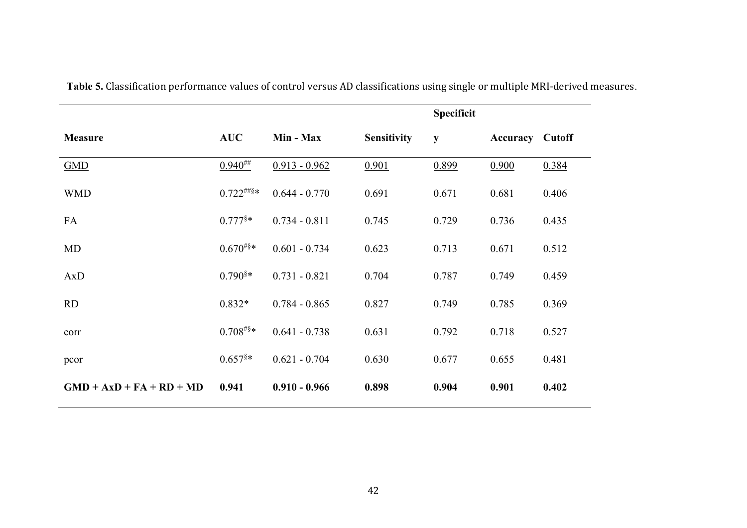|                            |                       |                 |                    | <b>Specificit</b> |                        |       |
|----------------------------|-----------------------|-----------------|--------------------|-------------------|------------------------|-------|
| <b>Measure</b>             | <b>AUC</b>            | Min - Max       | <b>Sensitivity</b> | ${\bf y}$         | <b>Accuracy Cutoff</b> |       |
| <b>GMD</b>                 | $0.940^{***}$         | $0.913 - 0.962$ | 0.901              | 0.899             | 0.900                  | 0.384 |
| <b>WMD</b>                 | $0.722^{(\#8)}$ *     | $0.644 - 0.770$ | 0.691              | 0.671             | 0.681                  | 0.406 |
| FA                         | $0.777$ <sup>§*</sup> | $0.734 - 0.811$ | 0.745              | 0.729             | 0.736                  | 0.435 |
| MD                         | $0.670^{#§*}$         | $0.601 - 0.734$ | 0.623              | 0.713             | 0.671                  | 0.512 |
| AxD                        | $0.790$ <sup>§*</sup> | $0.731 - 0.821$ | 0.704              | 0.787             | 0.749                  | 0.459 |
| <b>RD</b>                  | $0.832*$              | $0.784 - 0.865$ | 0.827              | 0.749             | 0.785                  | 0.369 |
| corr                       | $0.708^{#§*}$         | $0.641 - 0.738$ | 0.631              | 0.792             | 0.718                  | 0.527 |
| pcor                       | $0.657$ <sup>§*</sup> | $0.621 - 0.704$ | 0.630              | 0.677             | 0.655                  | 0.481 |
| $GMD + AxD + FA + RD + MD$ | 0.941                 | $0.910 - 0.966$ | 0.898              | 0.904             | 0.901                  | 0.402 |

**Table 5.** Classification performance values of control versus AD classifications using single or multiple MRI-derived measures.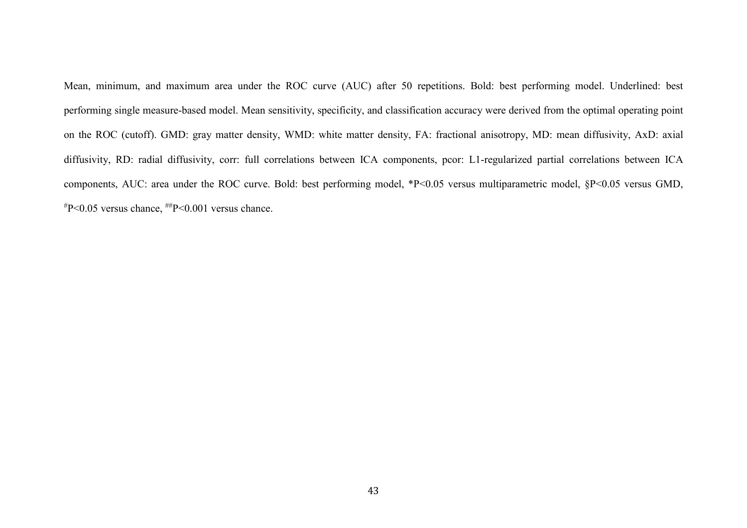Mean, minimum, and maximum area under the ROC curve (AUC) after 50 repetitions. Bold: best performing model. Underlined: best performing single measure-based model. Mean sensitivity, specificity, and classification accuracy were derived from the optimal operating point on the ROC (cutoff). GMD: gray matter density, WMD: white matter density, FA: fractional anisotropy, MD: mean diffusivity, AxD: axial diffusivity, RD: radial diffusivity, corr: full correlations between ICA components, pcor: L1-regularized partial correlations between ICA components, AUC: area under the ROC curve. Bold: best performing model, \*P<0.05 versus multiparametric model, §P<0.05 versus GMD,  $*P<0.05$  versus chance,  $*P<0.001$  versus chance.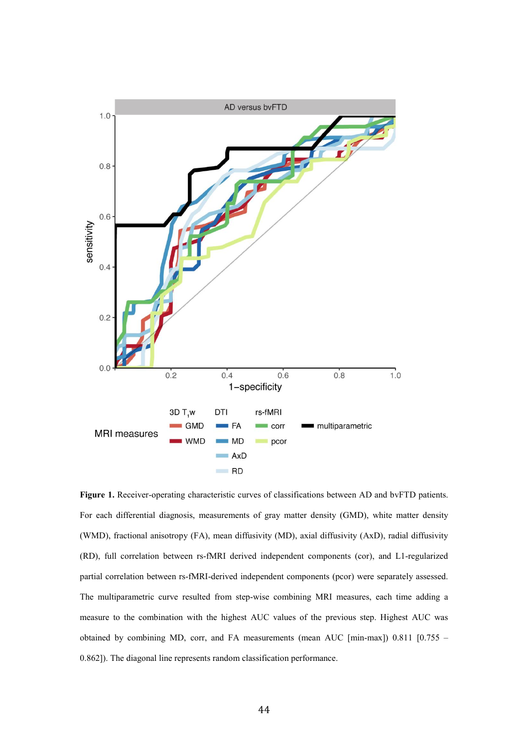

**Figure 1.** Receiver-operating characteristic curves of classifications between AD and bvFTD patients. For each differential diagnosis, measurements of gray matter density (GMD), white matter density (WMD), fractional anisotropy (FA), mean diffusivity (MD), axial diffusivity (AxD), radial diffusivity (RD), full correlation between rs-fMRI derived independent components (cor), and L1-regularized partial correlation between rs-fMRI-derived independent components (pcor) were separately assessed. The multiparametric curve resulted from step-wise combining MRI measures, each time adding a measure to the combination with the highest AUC values of the previous step. Highest AUC was obtained by combining MD, corr, and FA measurements (mean AUC [min-max]) 0.811 [0.755 – 0.862]). The diagonal line represents random classification performance.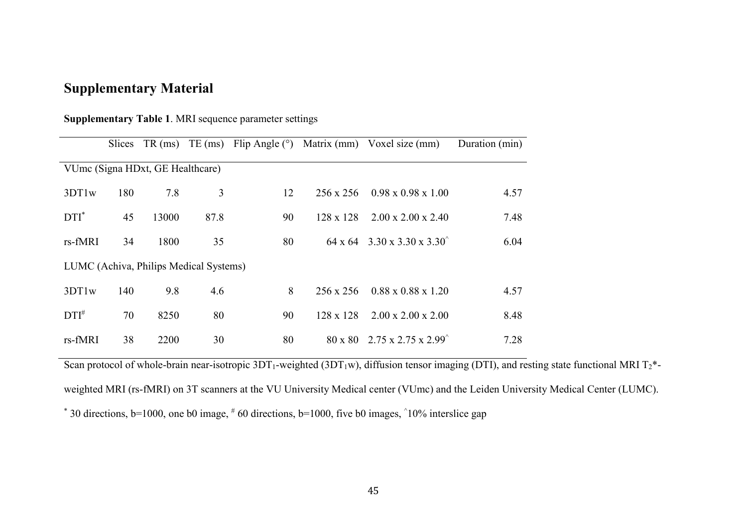# **Supplementary Material**

| <b>Supplementary Table 1. MRI sequence parameter settings</b> |  |  |  |  |  |
|---------------------------------------------------------------|--|--|--|--|--|
|---------------------------------------------------------------|--|--|--|--|--|

|                                  | <b>Slices</b> | $TR$ (ms)                              | $TE$ (ms) | Flip Angle $(°)$ |                  | Matrix (mm) Voxel size (mm)                                       | Duration (min) |
|----------------------------------|---------------|----------------------------------------|-----------|------------------|------------------|-------------------------------------------------------------------|----------------|
| VUmc (Signa HDxt, GE Healthcare) |               |                                        |           |                  |                  |                                                                   |                |
| 3DT1w                            | 180           | 7.8                                    | 3         | 12               | $256 \times 256$ | $0.98 \times 0.98 \times 1.00$                                    | 4.57           |
| $DTI^*$                          | 45            | 13000                                  | 87.8      | 90               | $128 \times 128$ | $2.00 \times 2.00 \times 2.40$                                    | 7.48           |
| rs-fMRI                          | 34            | 1800                                   | 35        | 80               |                  | $64 \times 64$ 3.30 x 3.30 x 3.30 <sup><math>\degree</math></sup> | 6.04           |
|                                  |               | LUMC (Achiva, Philips Medical Systems) |           |                  |                  |                                                                   |                |
| 3DT1w                            | 140           | 9.8                                    | 4.6       | 8                | $256 \times 256$ | $0.88 \times 0.88 \times 1.20$                                    | 4.57           |
| $DTI^{\#}$                       | 70            | 8250                                   | 80        | 90               | $128 \times 128$ | $2.00 \times 2.00 \times 2.00$                                    | 8.48           |
| rs-fMRI                          | 38            | 2200                                   | 30        | 80               |                  | $80 \times 80$ 2.75 x 2.75 x 2.99 <sup>*</sup>                    | 7.28           |

Scan protocol of whole-brain near-isotropic  $3DT_1$ -weighted  $(3DT_1w)$ , diffusion tensor imaging (DTI), and resting state functional MRI T<sub>2</sub>\*weighted MRI (rs-fMRI) on 3T scanners at the VU University Medical center (VUmc) and the Leiden University Medical Center (LUMC).  $*$  30 directions, b=1000, one b0 image,  $*$  60 directions, b=1000, five b0 images,  $\hat{10\%}$  interslice gap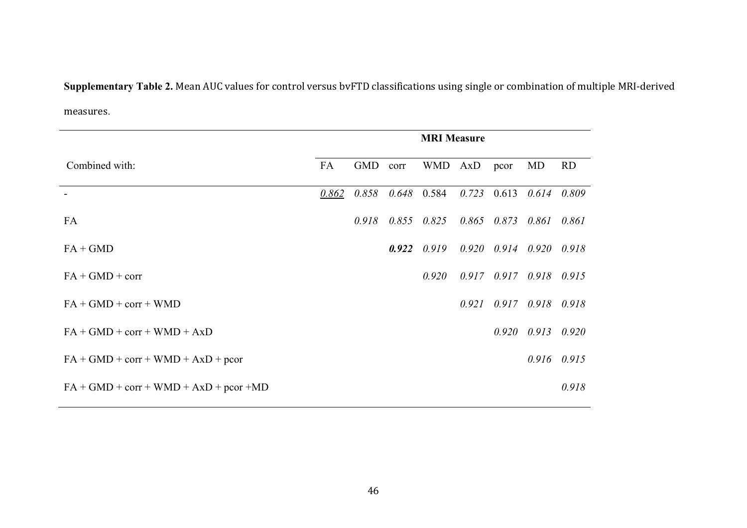**Supplementary Table 2.** Mean AUC values for control versus bvFTD classifications using single or combination of multiple MRI-derived measures.

|                                           | <b>MRI Measure</b> |            |       |               |       |                 |                                 |                 |
|-------------------------------------------|--------------------|------------|-------|---------------|-------|-----------------|---------------------------------|-----------------|
| Combined with:                            | FA                 | <b>GMD</b> | corr  | WMD AxD       |       | pcor            | MD                              | <b>RD</b>       |
|                                           | 0.862              | 0.858      |       | $0.648$ 0.584 | 0.723 | 0.613           | 0.614                           | 0.809           |
| FA                                        |                    | 0.918      | 0.855 | 0.825         |       | $0.865$ $0.873$ | 0.861                           | 0.861           |
| $FA + GMD$                                |                    |            | 0.922 | 0.919         |       |                 | $0.920$ $0.914$ $0.920$ $0.918$ |                 |
| $FA + GMD + corr$                         |                    |            |       | 0.920         |       | $0.917$ $0.917$ | $0.918$ $0.915$                 |                 |
| $FA + GMD + corr + WMD$                   |                    |            |       |               | 0.921 | 0.917           |                                 | $0.918$ $0.918$ |
| $FA + GMD + corr + WMD + AxD$             |                    |            |       |               |       | 0.920           |                                 | $0.913$ $0.920$ |
| $FA + GMD + corr + WMD + AxD + pcor$      |                    |            |       |               |       |                 |                                 | $0.916$ $0.915$ |
| $FA + GMD + corr + WMD + AxD + pcor + MD$ |                    |            |       |               |       |                 |                                 | 0.918           |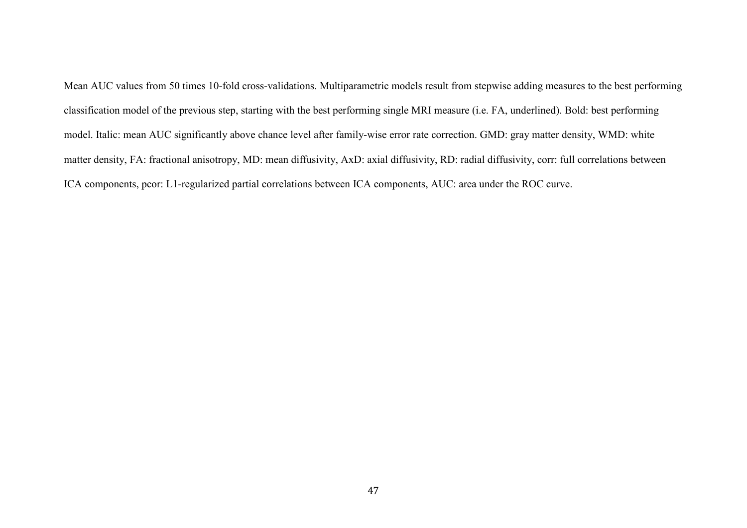Mean AUC values from 50 times 10-fold cross-validations. Multiparametric models result from stepwise adding measures to the best performing classification model of the previous step, starting with the best performing single MRI measure (i.e. FA, underlined). Bold: best performing model. Italic: mean AUC significantly above chance level after family-wise error rate correction. GMD: gray matter density, WMD: white matter density, FA: fractional anisotropy, MD: mean diffusivity, AxD: axial diffusivity, RD: radial diffusivity, corr: full correlations between ICA components, pcor: L1-regularized partial correlations between ICA components, AUC: area under the ROC curve.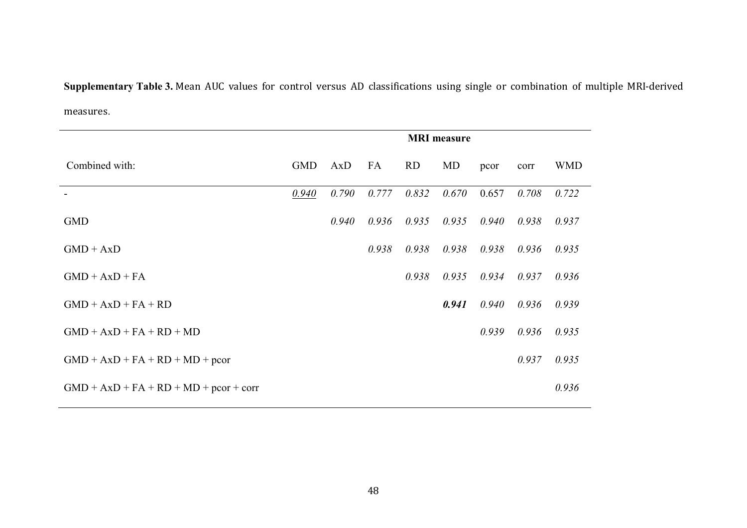**Supplementary Table 3.** Mean AUC values for control versus AD classifications using single or combination of multiple MRI-derived measures.

|                                          |            |       |       |           | <b>MRI</b> measure |       |       |            |
|------------------------------------------|------------|-------|-------|-----------|--------------------|-------|-------|------------|
| Combined with:                           | <b>GMD</b> | AxD   | FA    | <b>RD</b> | MD                 | pcor  | corr  | <b>WMD</b> |
|                                          | 0.940      | 0.790 | 0.777 | 0.832     | 0.670              | 0.657 | 0.708 | 0.722      |
| <b>GMD</b>                               |            | 0.940 | 0.936 | 0.935     | 0.935              | 0.940 | 0.938 | 0.937      |
| $GMD + AxD$                              |            |       | 0.938 | 0.938     | 0.938              | 0.938 | 0.936 | 0.935      |
| $GMD + AxD + FA$                         |            |       |       | 0.938     | 0.935              | 0.934 | 0.937 | 0.936      |
| $GMD + AxD + FA + RD$                    |            |       |       |           | 0.941              | 0.940 | 0.936 | 0.939      |
| $GMD + AxD + FA + RD + MD$               |            |       |       |           |                    | 0.939 | 0.936 | 0.935      |
| $GMD + AxD + FA + RD + MD + pcor$        |            |       |       |           |                    |       | 0.937 | 0.935      |
| $GMD + AxD + FA + RD + MD + pcor + corr$ |            |       |       |           |                    |       |       | 0.936      |